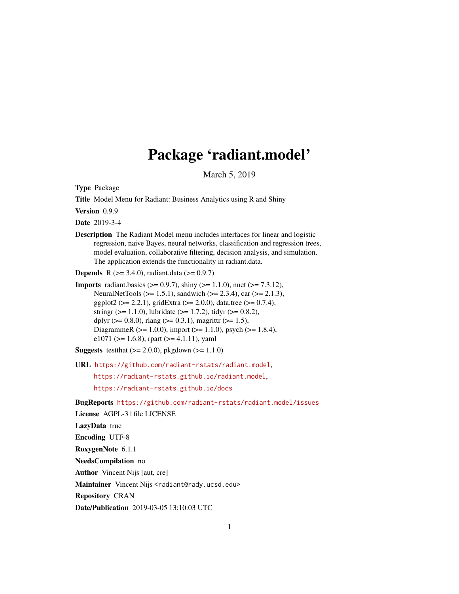# Package 'radiant.model'

March 5, 2019

<span id="page-0-0"></span>Type Package

Title Model Menu for Radiant: Business Analytics using R and Shiny

Version 0.9.9

Date 2019-3-4

Description The Radiant Model menu includes interfaces for linear and logistic regression, naive Bayes, neural networks, classification and regression trees, model evaluation, collaborative filtering, decision analysis, and simulation. The application extends the functionality in radiant.data.

**Depends** R ( $>= 3.4.0$ ), radiant.data ( $>= 0.9.7$ )

```
Imports radiant.basics (> = 0.9.7), shiny (> = 1.1.0), nnet (> = 7.3.12),
      NeuralNetTools (>= 1.5.1), sandwich (>= 2.3.4), car (>= 2.1.3),
      ggplot2 (> = 2.2.1), gridExtra (>= 2.0.0), data.tree (>= 0.7.4),
      stringr (> = 1.1.0), lubridate (> = 1.7.2), tidyr (> = 0.8.2),
      dplyr (> = 0.8.0), rlang (> = 0.3.1), magrittr (> = 1.5),
      DiagrammeR (>= 1.0.0), import (>= 1.1.0), psych (>= 1.8.4),
      e1071 (>= 1.6.8), rpart (>= 4.1.11), yaml
```
**Suggests** testthat  $(>= 2.0.0)$ , pkgdown  $(>= 1.1.0)$ 

URL <https://github.com/radiant-rstats/radiant.model>,

<https://radiant-rstats.github.io/radiant.model>, <https://radiant-rstats.github.io/docs>

BugReports <https://github.com/radiant-rstats/radiant.model/issues>

License AGPL-3 | file LICENSE

```
LazyData true
```
Encoding UTF-8

RoxygenNote 6.1.1

NeedsCompilation no

Author Vincent Nijs [aut, cre]

Maintainer Vincent Nijs <radiant@rady.ucsd.edu>

Repository CRAN

Date/Publication 2019-03-05 13:10:03 UTC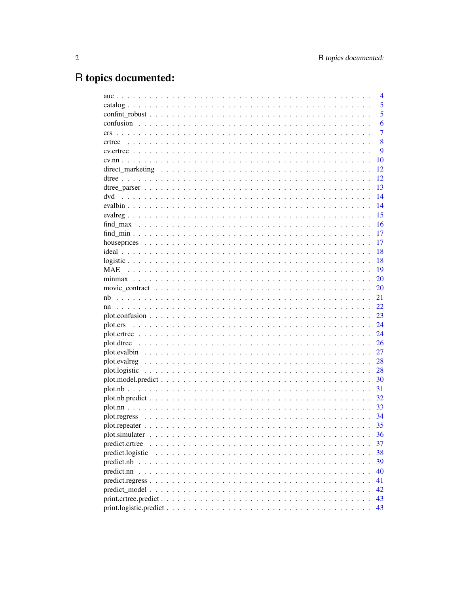# R topics documented:

|                  | $\overline{4}$ |
|------------------|----------------|
|                  | 5              |
|                  | 5              |
|                  | 6              |
| <b>crs</b>       | 7              |
| crtree           | 8              |
|                  | 9              |
|                  | 10             |
|                  | 12             |
|                  | 12             |
|                  | 13             |
| dvd              | 14             |
|                  | 14             |
|                  | 15             |
|                  | 16             |
|                  | 17             |
|                  | 17             |
|                  | 18             |
|                  | 18             |
|                  | 19             |
|                  | 20             |
|                  | 20             |
| nb               | 21             |
|                  | 22             |
|                  | 23             |
|                  | 24             |
|                  | 24             |
|                  | 26             |
|                  | 27             |
|                  | 28             |
|                  | 28             |
|                  | 30             |
|                  | 31             |
|                  | 32             |
|                  | 33             |
|                  | 34             |
|                  | 35             |
|                  | 36             |
| predict.crtree   | 37             |
| predict.logistic | 38             |
|                  | 39             |
|                  | 40             |
|                  | 41             |
|                  | 42             |
|                  | 43             |
|                  | 43             |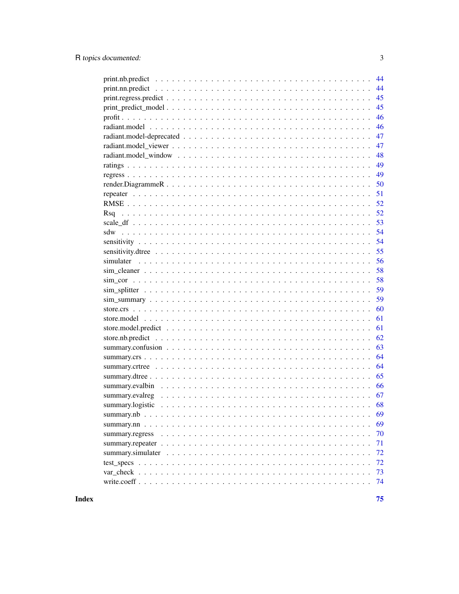|     | 44 |
|-----|----|
|     | 44 |
|     | 45 |
|     | 45 |
|     | 46 |
|     | 46 |
|     | 47 |
|     | 47 |
|     | 48 |
|     | 49 |
|     | 49 |
|     | 50 |
|     | 51 |
|     | 52 |
|     | 52 |
|     | 53 |
| sdw | 54 |
|     | 54 |
|     | 55 |
|     | 56 |
|     | 58 |
|     | 58 |
|     | 59 |
|     | 59 |
|     | 60 |
|     | 61 |
|     | 61 |
|     | 62 |
|     | 63 |
|     | 64 |
|     | 64 |
|     | 65 |
|     | 66 |
|     | 67 |
|     |    |
|     | 69 |
|     | 69 |
|     | 70 |
|     | 71 |
|     | 72 |
|     | 72 |
|     | 73 |
|     | 74 |
|     |    |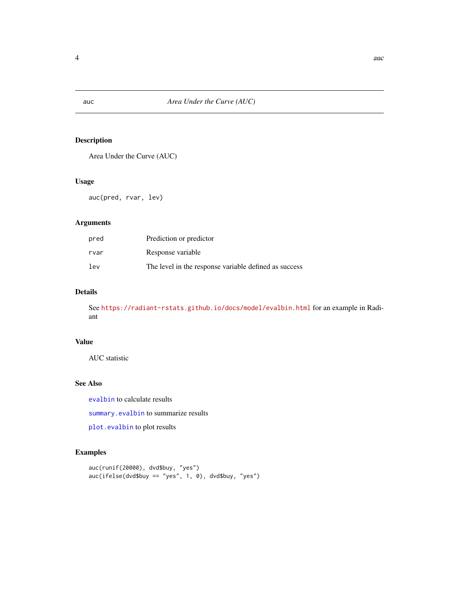<span id="page-3-1"></span><span id="page-3-0"></span>

Area Under the Curve (AUC)

# Usage

auc(pred, rvar, lev)

# Arguments

| pred | Prediction or predictor                               |
|------|-------------------------------------------------------|
| rvar | Response variable                                     |
| lev  | The level in the response variable defined as success |

# Details

See <https://radiant-rstats.github.io/docs/model/evalbin.html> for an example in Radiant

# Value

AUC statistic

# See Also

[evalbin](#page-13-1) to calculate results

[summary.evalbin](#page-65-1) to summarize results

[plot.evalbin](#page-26-1) to plot results

```
auc(runif(20000), dvd$buy, "yes")
auc(ifelse(dvd$buy == "yes", 1, 0), dvd$buy, "yes")
```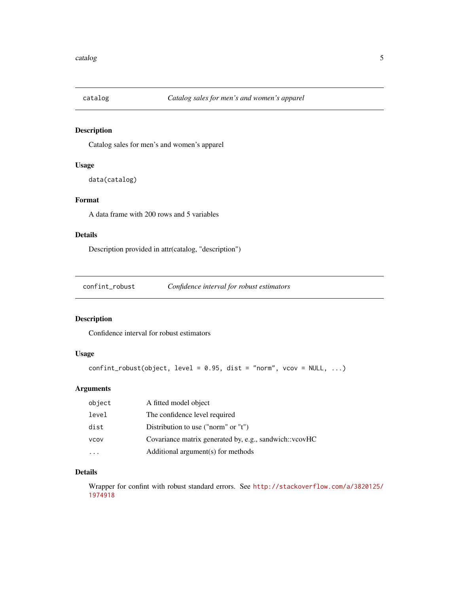<span id="page-4-0"></span>

Catalog sales for men's and women's apparel

# Usage

```
data(catalog)
```
#### Format

A data frame with 200 rows and 5 variables

# Details

Description provided in attr(catalog, "description")

confint\_robust *Confidence interval for robust estimators*

# Description

Confidence interval for robust estimators

# Usage

```
confint_robust(object, level = 0.95, dist = "norm", vcov = NULL, ...)
```
# Arguments

| object   | A fitted model object                                  |
|----------|--------------------------------------------------------|
| level    | The confidence level required                          |
| dist     | Distribution to use ("norm" or " $t$ ")                |
| vcov     | Covariance matrix generated by, e.g., sandwich::vcovHC |
| $\cdots$ | Additional argument(s) for methods                     |

# Details

Wrapper for confint with robust standard errors. See [http://stackoverflow.com/a/3820125/](http://stackoverflow.com/a/3820125/1974918) [1974918](http://stackoverflow.com/a/3820125/1974918)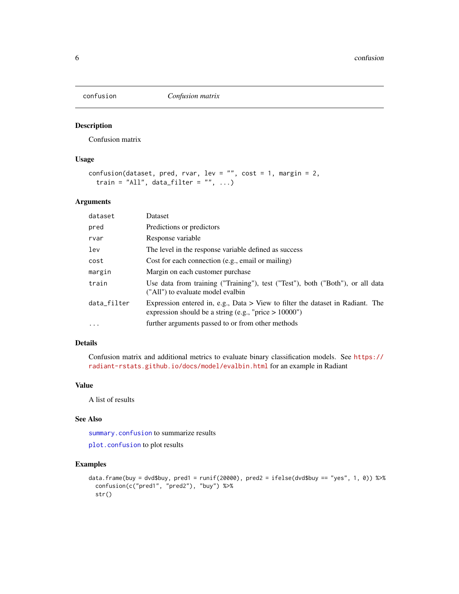<span id="page-5-1"></span><span id="page-5-0"></span>

Confusion matrix

# Usage

```
confusion(dataset, pred, rvar, lev = "", cost = 1, margin = 2,train = "All", data_filter = "", ...)
```
# Arguments

| dataset     | Dataset                                                                                                                                      |
|-------------|----------------------------------------------------------------------------------------------------------------------------------------------|
| pred        | Predictions or predictors                                                                                                                    |
| rvar        | Response variable                                                                                                                            |
| lev         | The level in the response variable defined as success                                                                                        |
| cost        | Cost for each connection (e.g., email or mailing)                                                                                            |
| margin      | Margin on each customer purchase.                                                                                                            |
| train       | Use data from training ("Training"), test ("Test"), both ("Both"), or all data<br>("All") to evaluate model evalbin                          |
| data_filter | Expression entered in, e.g., Data $>$ View to filter the dataset in Radiant. The<br>expression should be a string (e.g., "price $> 10000$ ") |
| $\ddots$    | further arguments passed to or from other methods                                                                                            |

# Details

Confusion matrix and additional metrics to evaluate binary classification models. See [https://](https://radiant-rstats.github.io/docs/model/evalbin.html) [radiant-rstats.github.io/docs/model/evalbin.html](https://radiant-rstats.github.io/docs/model/evalbin.html) for an example in Radiant

#### Value

A list of results

# See Also

[summary.confusion](#page-62-1) to summarize results

[plot.confusion](#page-22-1) to plot results

```
data.frame(buy = dvd$buy, pred1 = runif(20000), pred2 = ifelse(dvd$buy == "yes", 1, 0)) %>%
  confusion(c("pred1", "pred2"), "buy") %>%
  str()
```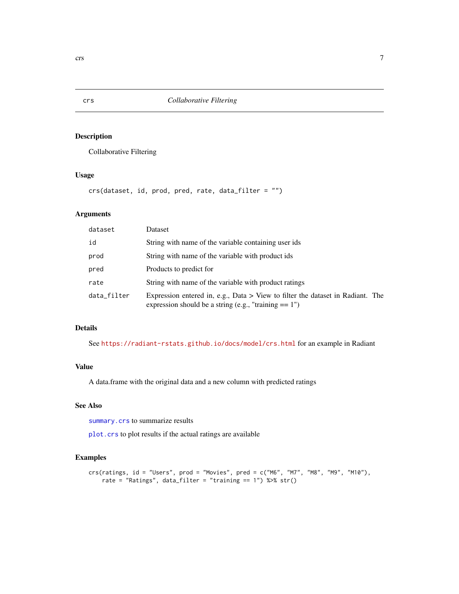Collaborative Filtering

#### Usage

crs(dataset, id, prod, pred, rate, data\_filter = "")

# Arguments

| dataset     | Dataset                                                                                                                                      |
|-------------|----------------------------------------------------------------------------------------------------------------------------------------------|
| id          | String with name of the variable containing user ids                                                                                         |
| prod        | String with name of the variable with product ids                                                                                            |
| pred        | Products to predict for                                                                                                                      |
| rate        | String with name of the variable with product ratings                                                                                        |
| data_filter | Expression entered in, e.g., Data $>$ View to filter the dataset in Radiant. The<br>expression should be a string (e.g., "training $== 1$ ") |

# Details

See <https://radiant-rstats.github.io/docs/model/crs.html> for an example in Radiant

#### Value

A data.frame with the original data and a new column with predicted ratings

### See Also

[summary.crs](#page-63-1) to summarize results

[plot.crs](#page-23-1) to plot results if the actual ratings are available

```
crs(ratings, id = "Users", prod = "Movies", pred = c("M6", "M7", "M8", "M9", "M10"),
   rate = "Ratings", data_filter = "training == 1") %>% str()
```
<span id="page-6-1"></span><span id="page-6-0"></span>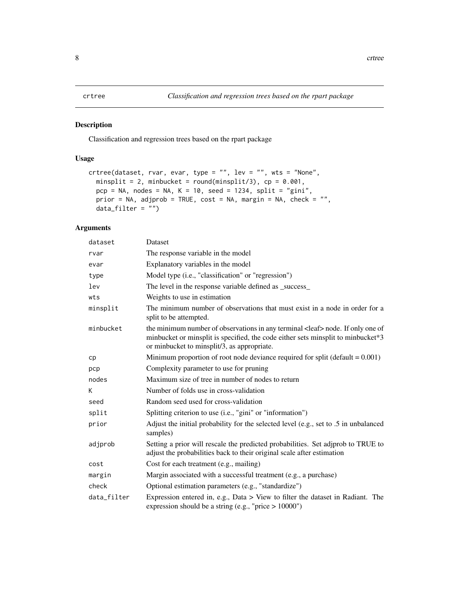<span id="page-7-1"></span><span id="page-7-0"></span>Classification and regression trees based on the rpart package

# Usage

```
crtree(dataset, rvar, evar, type = "", lev = "", wts = "None",
 minsplit = 2, minbucket = round(minsplit/3), cp = 0.001,
 pcp = NA, nodes = NA, K = 10, seed = 1234, split = "gini",
 prior = NA, adjprob = TRUE, cost = NA, margin = NA, check = ",
 data_fitter = "")
```
#### Arguments

| dataset     | Dataset                                                                                                                                                                                                                    |
|-------------|----------------------------------------------------------------------------------------------------------------------------------------------------------------------------------------------------------------------------|
| rvar        | The response variable in the model                                                                                                                                                                                         |
| evar        | Explanatory variables in the model                                                                                                                                                                                         |
| type        | Model type (i.e., "classification" or "regression")                                                                                                                                                                        |
| lev         | The level in the response variable defined as _success_                                                                                                                                                                    |
| wts         | Weights to use in estimation                                                                                                                                                                                               |
| minsplit    | The minimum number of observations that must exist in a node in order for a<br>split to be attempted.                                                                                                                      |
| minbucket   | the minimum number of observations in any terminal <leaf> node. If only one of<br/>minbucket or minsplit is specified, the code either sets minsplit to minbucket*3<br/>or minbucket to minsplit/3, as appropriate.</leaf> |
| cp          | Minimum proportion of root node deviance required for split (default $= 0.001$ )                                                                                                                                           |
| pcp         | Complexity parameter to use for pruning                                                                                                                                                                                    |
| nodes       | Maximum size of tree in number of nodes to return                                                                                                                                                                          |
| K           | Number of folds use in cross-validation                                                                                                                                                                                    |
| seed        | Random seed used for cross-validation                                                                                                                                                                                      |
| split       | Splitting criterion to use (i.e., "gini" or "information")                                                                                                                                                                 |
| prior       | Adjust the initial probability for the selected level (e.g., set to .5 in unbalanced<br>samples)                                                                                                                           |
| adjprob     | Setting a prior will rescale the predicted probabilities. Set adjprob to TRUE to<br>adjust the probabilities back to their original scale after estimation                                                                 |
| cost        | Cost for each treatment (e.g., mailing)                                                                                                                                                                                    |
| margin      | Margin associated with a successful treatment (e.g., a purchase)                                                                                                                                                           |
| check       | Optional estimation parameters (e.g., "standardize")                                                                                                                                                                       |
| data_filter | Expression entered in, e.g., Data > View to filter the dataset in Radiant. The<br>expression should be a string (e.g., "price $> 10000$ ")                                                                                 |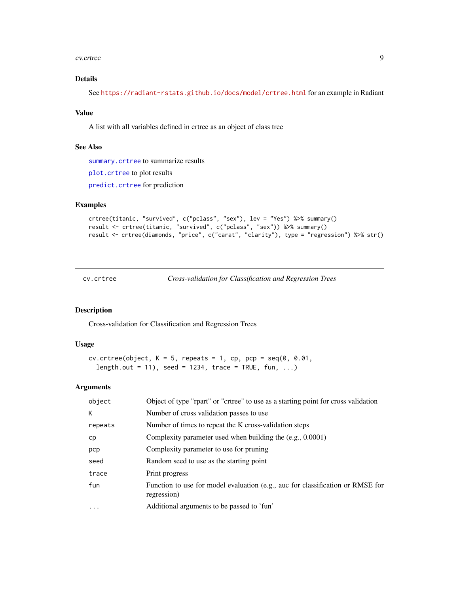#### <span id="page-8-0"></span>cv.crtree 9

# Details

See <https://radiant-rstats.github.io/docs/model/crtree.html> for an example in Radiant

#### Value

A list with all variables defined in crtree as an object of class tree

# See Also

[summary.crtree](#page-63-2) to summarize results [plot.crtree](#page-23-2) to plot results [predict.crtree](#page-36-1) for prediction

#### Examples

```
crtree(titanic, "survived", c("pclass", "sex"), lev = "Yes") %>% summary()
result <- crtree(titanic, "survived", c("pclass", "sex")) %>% summary()
result <- crtree(diamonds, "price", c("carat", "clarity"), type = "regression") %>% str()
```
cv.crtree *Cross-validation for Classification and Regression Trees*

#### Description

Cross-validation for Classification and Regression Trees

#### Usage

```
cv.crtree(object, K = 5, repeats = 1, cp, pcp = seq(0, 0.01,
  length.out = 11), seed = 1234, trace = TRUE, fun, ...)
```
# Arguments

| object    | Object of type "rpart" or "crtree" to use as a starting point for cross validation            |
|-----------|-----------------------------------------------------------------------------------------------|
| К         | Number of cross validation passes to use                                                      |
| repeats   | Number of times to repeat the K cross-validation steps                                        |
| cp        | Complexity parameter used when building the $(e.g., 0.0001)$                                  |
| pcp       | Complexity parameter to use for pruning                                                       |
| seed      | Random seed to use as the starting point                                                      |
| trace     | Print progress                                                                                |
| fun       | Function to use for model evaluation (e.g., auc for classification or RMSE for<br>regression) |
| $\ddotsc$ | Additional arguments to be passed to 'fun'                                                    |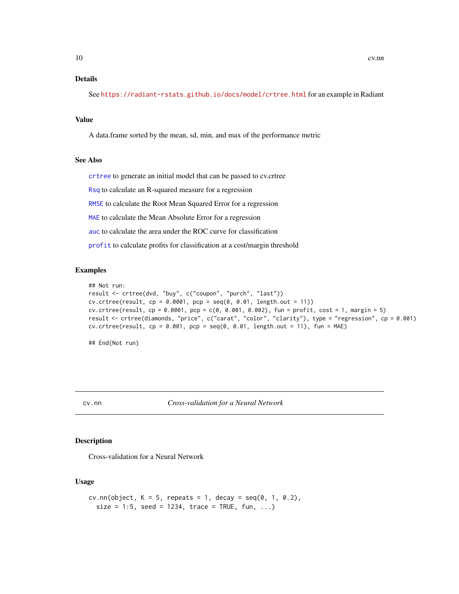<span id="page-9-0"></span>See <https://radiant-rstats.github.io/docs/model/crtree.html> for an example in Radiant

# Value

A data.frame sorted by the mean, sd, min, and max of the performance metric

#### See Also

[crtree](#page-7-1) to generate an initial model that can be passed to cv.crtree

[Rsq](#page-51-1) to calculate an R-squared measure for a regression

[RMSE](#page-51-2) to calculate the Root Mean Squared Error for a regression

[MAE](#page-18-1) to calculate the Mean Absolute Error for a regression

[auc](#page-3-1) to calculate the area under the ROC curve for classification

[profit](#page-45-1) to calculate profits for classification at a cost/margin threshold

#### Examples

```
## Not run:
result <- crtree(dvd, "buy", c("coupon", "purch", "last"))
cv. crtree(result, cp = 0.0001, pcp = seq(0, 0.01, length.out = 11))
cv. crtree(result, cp = 0.0001, pcp = c(0, 0.001, 0.002), fun = profit, cost = 1, margin = 5)
result <- crtree(diamonds, "price", c("carat", "color", "clarity"), type = "regression", cp = 0.001)
cv.crtree(result, cp = 0.001, pc = seq(0, 0.01, length.out = 11), fun = MAE)
```
## End(Not run)

cv.nn *Cross-validation for a Neural Network*

#### Description

Cross-validation for a Neural Network

#### Usage

```
cv.nn(object, K = 5, repeats = 1, decay = seq(0, 1, 0.2),size = 1:5, seed = 1234, trace = TRUE, fun, ...)
```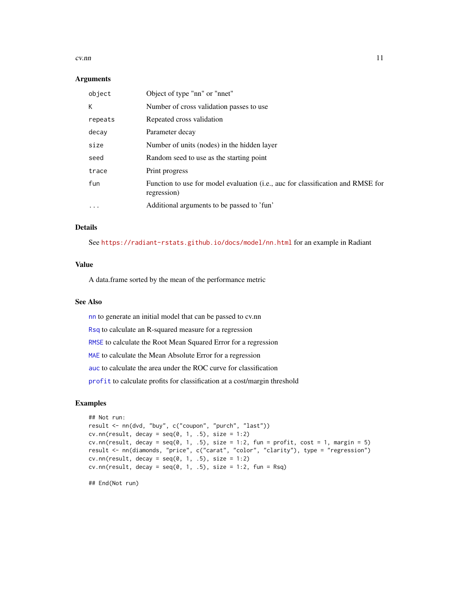#### $cv$ .nn  $11$

#### **Arguments**

| object  | Object of type "nn" or "nnet"                                                                  |
|---------|------------------------------------------------------------------------------------------------|
| K       | Number of cross validation passes to use                                                       |
| repeats | Repeated cross validation                                                                      |
| decay   | Parameter decay                                                                                |
| size    | Number of units (nodes) in the hidden layer                                                    |
| seed    | Random seed to use as the starting point                                                       |
| trace   | Print progress                                                                                 |
| fun     | Function to use for model evaluation (i.e., auc for classification and RMSE for<br>regression) |
| .       | Additional arguments to be passed to 'fun'                                                     |

# Details

See <https://radiant-rstats.github.io/docs/model/nn.html> for an example in Radiant

#### Value

A data.frame sorted by the mean of the performance metric

#### See Also

[nn](#page-21-1) to generate an initial model that can be passed to cv.nn

[Rsq](#page-51-1) to calculate an R-squared measure for a regression

[RMSE](#page-51-2) to calculate the Root Mean Squared Error for a regression

[MAE](#page-18-1) to calculate the Mean Absolute Error for a regression

[auc](#page-3-1) to calculate the area under the ROC curve for classification

[profit](#page-45-1) to calculate profits for classification at a cost/margin threshold

#### Examples

```
## Not run:
result <- nn(dvd, "buy", c("coupon", "purch", "last"))
cv.nn(result, decay = seq(0, 1, .5), size = 1:2)cv.nn(result, decay = seq(0, 1, .5), size = 1:2, fun = profit, cost = 1, margin = 5)
result <- nn(diamonds, "price", c("carat", "color", "clarity"), type = "regression")
cv.nn(result, decay = seq(0, 1, .5), size = 1:2)
cv.nn(result, decay = seq(0, 1, .5), size = 1:2, fun = Rsq)
```
## End(Not run)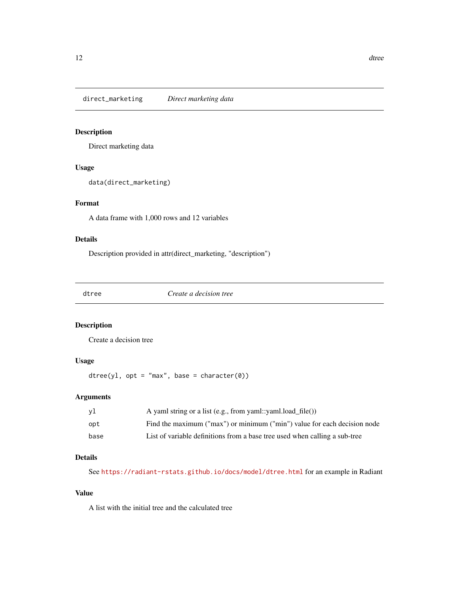<span id="page-11-0"></span>direct\_marketing *Direct marketing data*

# Description

Direct marketing data

# Usage

data(direct\_marketing)

# Format

A data frame with 1,000 rows and 12 variables

# Details

Description provided in attr(direct\_marketing, "description")

<span id="page-11-1"></span>dtree *Create a decision tree*

# Description

Create a decision tree

# Usage

 $dtree(y1, opt = "max", base = character(0))$ 

#### Arguments

| vl   | A yaml string or a list (e.g., from yaml::yaml.load file())                |
|------|----------------------------------------------------------------------------|
| opt  | Find the maximum ("max") or minimum ("min") value for each decision node   |
| base | List of variable definitions from a base tree used when calling a sub-tree |

# Details

See <https://radiant-rstats.github.io/docs/model/dtree.html> for an example in Radiant

#### Value

A list with the initial tree and the calculated tree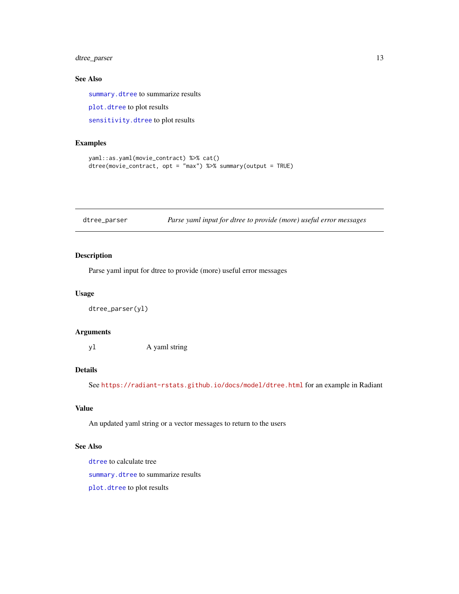<span id="page-12-0"></span>dtree\_parser 13

# See Also

[summary.dtree](#page-64-1) to summarize results

[plot.dtree](#page-25-1) to plot results

[sensitivity.dtree](#page-54-1) to plot results

# Examples

```
yaml::as.yaml(movie_contract) %>% cat()
dtree(movie_contract, opt = "max") %>% summary(output = TRUE)
```

```
dtree_parser Parse yaml input for dtree to provide (more) useful error messages
```
# Description

Parse yaml input for dtree to provide (more) useful error messages

### Usage

```
dtree_parser(yl)
```
#### Arguments

yl A yaml string

# Details

See <https://radiant-rstats.github.io/docs/model/dtree.html> for an example in Radiant

# Value

An updated yaml string or a vector messages to return to the users

# See Also

[dtree](#page-11-1) to calculate tree [summary.dtree](#page-64-1) to summarize results [plot.dtree](#page-25-1) to plot results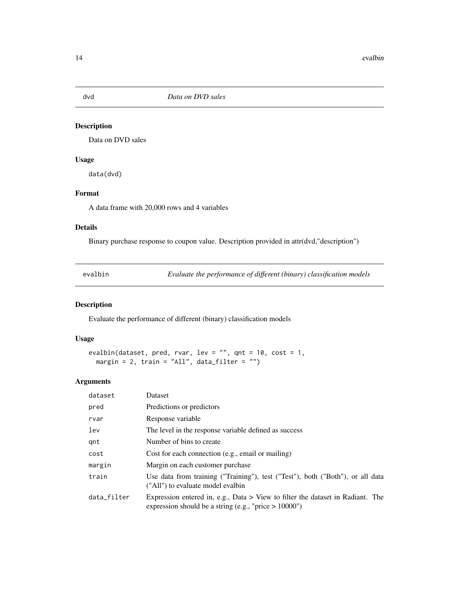<span id="page-13-0"></span>

Data on DVD sales

## Usage

data(dvd)

# Format

A data frame with 20,000 rows and 4 variables

# Details

Binary purchase response to coupon value. Description provided in attr(dvd,"description")

<span id="page-13-1"></span>

| evalbin | Evaluate the performance of different (binary) classification models |
|---------|----------------------------------------------------------------------|
|---------|----------------------------------------------------------------------|

# Description

Evaluate the performance of different (binary) classification models

# Usage

```
evalbin(dataset, pred, rvar, lev = "", qnt = 10, cost = 1,
 margin = 2, train = "All", data_filter = "")
```
#### Arguments

| dataset     | Dataset                                                                                                                                      |
|-------------|----------------------------------------------------------------------------------------------------------------------------------------------|
| pred        | Predictions or predictors                                                                                                                    |
| rvar        | Response variable                                                                                                                            |
| lev         | The level in the response variable defined as success                                                                                        |
| gnt         | Number of bins to create                                                                                                                     |
| cost        | Cost for each connection (e.g., email or mailing)                                                                                            |
| margin      | Margin on each customer purchase                                                                                                             |
| train       | Use data from training ("Training"), test ("Test"), both ("Both"), or all data<br>("All") to evaluate model evalbin                          |
| data_filter | Expression entered in, e.g., Data $>$ View to filter the dataset in Radiant. The<br>expression should be a string (e.g., "price $> 10000$ ") |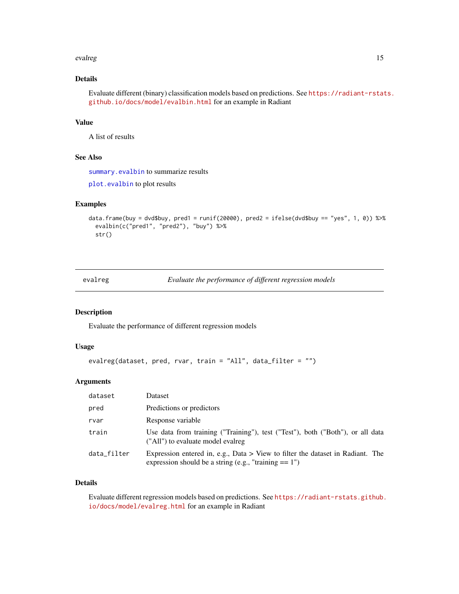#### <span id="page-14-0"></span>evalreg the state of the state of the state of the state of the state of the state of the state of the state of the state of the state of the state of the state of the state of the state of the state of the state of the st

# Details

Evaluate different (binary) classification models based on predictions. See [https://radiant-rstat](https://radiant-rstats.github.io/docs/model/evalbin.html)s. [github.io/docs/model/evalbin.html](https://radiant-rstats.github.io/docs/model/evalbin.html) for an example in Radiant

#### Value

A list of results

# See Also

[summary.evalbin](#page-65-1) to summarize results

[plot.evalbin](#page-26-1) to plot results

#### Examples

```
data.frame(buy = dvd$buy, pred1 = runif(20000), pred2 = ifelse(dvd$buy == "yes", 1, 0)) %>%
 evalbin(c("pred1", "pred2"), "buy") %>%
 str()
```
<span id="page-14-1"></span>evalreg *Evaluate the performance of different regression models*

#### Description

Evaluate the performance of different regression models

# Usage

```
evalreg(dataset, pred, rvar, train = "All", data_filter = "")
```
#### Arguments

| dataset     | Dataset                                                                                                                                      |
|-------------|----------------------------------------------------------------------------------------------------------------------------------------------|
| pred        | Predictions or predictors                                                                                                                    |
| rvar        | Response variable                                                                                                                            |
| train       | Use data from training ("Training"), test ("Test"), both ("Both"), or all data<br>("All") to evaluate model evalreg                          |
| data_filter | Expression entered in, e.g., Data $>$ View to filter the dataset in Radiant. The<br>expression should be a string (e.g., "training $== 1$ ") |

# Details

Evaluate different regression models based on predictions. See [https://radiant-rstats.github.](https://radiant-rstats.github.io/docs/model/evalreg.html) [io/docs/model/evalreg.html](https://radiant-rstats.github.io/docs/model/evalreg.html) for an example in Radiant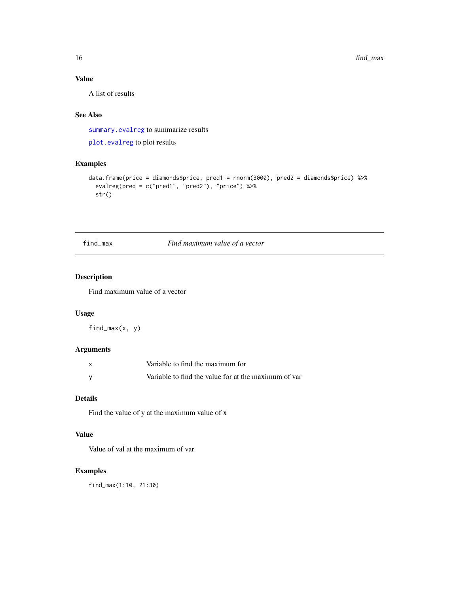# Value

A list of results

# See Also

[summary.evalreg](#page-66-1) to summarize results

[plot.evalreg](#page-27-1) to plot results

# Examples

```
data.frame(price = diamonds$price, pred1 = rnorm(3000), pred2 = diamonds$price) %>%
  evalreg(pred = c("pred1", "pred2"), "price") %>%
  str()
```
# find\_max *Find maximum value of a vector*

# Description

Find maximum value of a vector

# Usage

find\_max(x, y)

# Arguments

| <b>X</b> | Variable to find the maximum for                     |
|----------|------------------------------------------------------|
|          | Variable to find the value for at the maximum of var |

#### Details

Find the value of y at the maximum value of x

# Value

Value of val at the maximum of var

# Examples

find\_max(1:10, 21:30)

<span id="page-15-0"></span>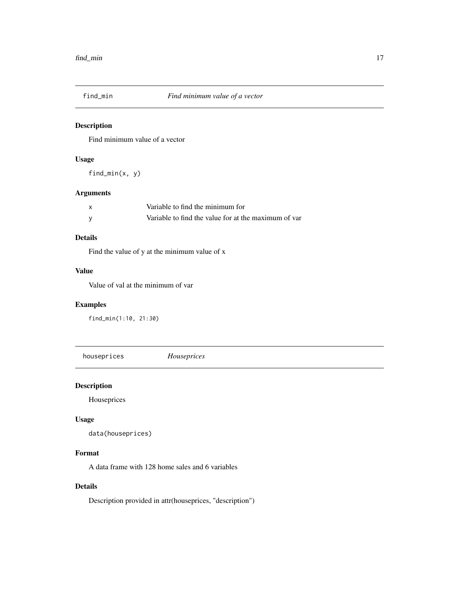<span id="page-16-0"></span>

Find minimum value of a vector

# Usage

find\_min(x, y)

# Arguments

| $\times$ | Variable to find the minimum for                     |
|----------|------------------------------------------------------|
|          | Variable to find the value for at the maximum of var |

# Details

Find the value of y at the minimum value of x

#### Value

Value of val at the minimum of var

# Examples

find\_min(1:10, 21:30)

houseprices *Houseprices*

# Description

Houseprices

#### Usage

```
data(houseprices)
```
# Format

A data frame with 128 home sales and 6 variables

#### Details

Description provided in attr(houseprices, "description")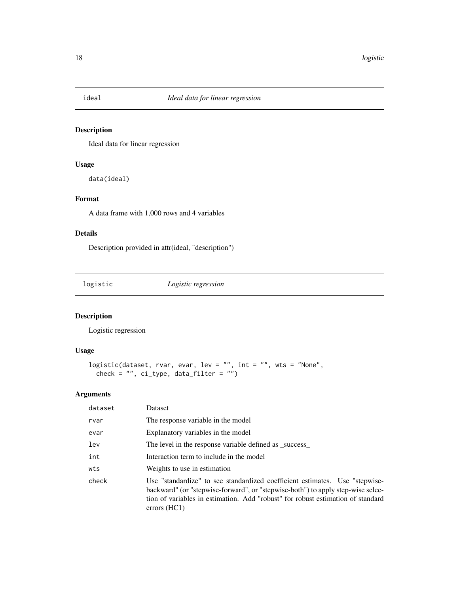<span id="page-17-0"></span>

Ideal data for linear regression

# Usage

data(ideal)

# Format

A data frame with 1,000 rows and 4 variables

### Details

Description provided in attr(ideal, "description")

<span id="page-17-1"></span>logistic *Logistic regression*

# Description

Logistic regression

# Usage

```
logistic(dataset, rvar, evar, lev = "", int = "", wts = "None",
 check = "", ci_type, data_file = "")
```
# Arguments

| dataset | Dataset                                                                                                                                                                                                                                                                         |
|---------|---------------------------------------------------------------------------------------------------------------------------------------------------------------------------------------------------------------------------------------------------------------------------------|
| rvar    | The response variable in the model                                                                                                                                                                                                                                              |
| evar    | Explanatory variables in the model                                                                                                                                                                                                                                              |
| lev     | The level in the response variable defined as _success_                                                                                                                                                                                                                         |
| int     | Interaction term to include in the model                                                                                                                                                                                                                                        |
| wts     | Weights to use in estimation                                                                                                                                                                                                                                                    |
| check   | Use "standardize" to see standardized coefficient estimates. Use "stepwise-<br>backward" (or "stepwise-forward", or "stepwise-both") to apply step-wise selec-<br>tion of variables in estimation. Add "robust" for robust estimation of standard<br>$\frac{1}{2}$ errors (HC1) |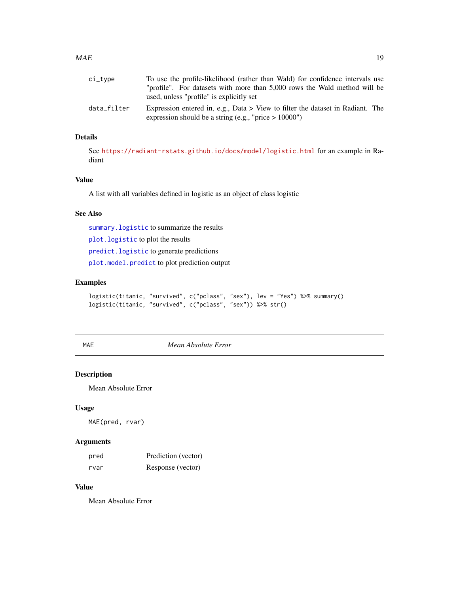<span id="page-18-0"></span>

| ci_tvpe     | To use the profile-likelihood (rather than Wald) for confidence intervals use    |
|-------------|----------------------------------------------------------------------------------|
|             | "profile". For datasets with more than 5,000 rows the Wald method will be        |
|             | used, unless "profile" is explicitly set                                         |
| data filter | Expression entered in, e.g., Data $>$ View to filter the dataset in Radiant. The |
|             | expression should be a string (e.g., "price $> 10000$ ")                         |

# Details

See <https://radiant-rstats.github.io/docs/model/logistic.html> for an example in Radiant

# Value

A list with all variables defined in logistic as an object of class logistic

#### See Also

[summary.logistic](#page-67-1) to summarize the results [plot.logistic](#page-27-2) to plot the results [predict.logistic](#page-37-1) to generate predictions [plot.model.predict](#page-29-1) to plot prediction output

# Examples

```
logistic(titanic, "survived", c("pclass", "sex"), lev = "Yes") %>% summary()
logistic(titanic, "survived", c("pclass", "sex")) %>% str()
```
<span id="page-18-1"></span>

MAE *Mean Absolute Error*

# Description

Mean Absolute Error

# Usage

MAE(pred, rvar)

### Arguments

| pred | Prediction (vector) |
|------|---------------------|
| rvar | Response (vector)   |

#### Value

Mean Absolute Error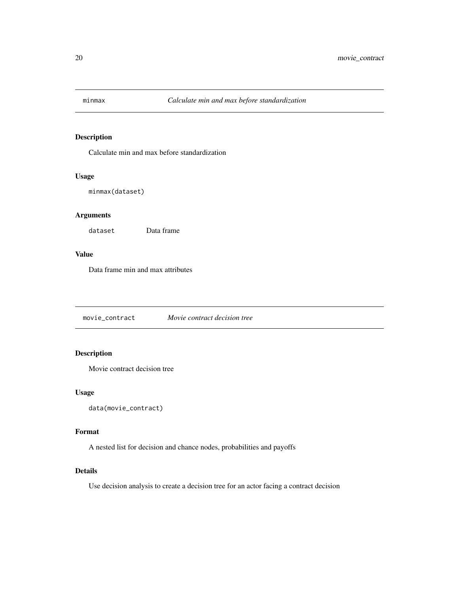<span id="page-19-0"></span>

Calculate min and max before standardization

#### Usage

```
minmax(dataset)
```
#### Arguments

dataset Data frame

# Value

Data frame min and max attributes

movie\_contract *Movie contract decision tree*

# **Description**

Movie contract decision tree

#### Usage

data(movie\_contract)

#### Format

A nested list for decision and chance nodes, probabilities and payoffs

# Details

Use decision analysis to create a decision tree for an actor facing a contract decision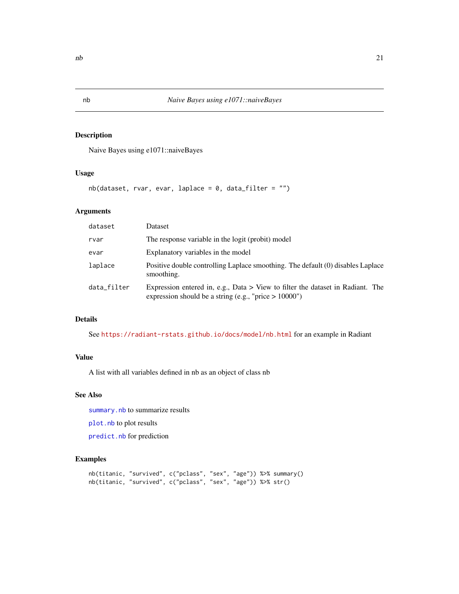Naive Bayes using e1071::naiveBayes

# Usage

 $nb(dataset, rvar, evar, laplace = 0, data-filter = "")$ 

# Arguments

| dataset     | Dataset                                                                                                                                      |
|-------------|----------------------------------------------------------------------------------------------------------------------------------------------|
| rvar        | The response variable in the logit (probit) model                                                                                            |
| evar        | Explanatory variables in the model                                                                                                           |
| laplace     | Positive double controlling Laplace smoothing. The default (0) disables Laplace<br>smoothing.                                                |
| data filter | Expression entered in, e.g., Data $>$ View to filter the dataset in Radiant. The<br>expression should be a string (e.g., "price $> 10000$ ") |

# Details

See <https://radiant-rstats.github.io/docs/model/nb.html> for an example in Radiant

# Value

A list with all variables defined in nb as an object of class nb

# See Also

[summary.nb](#page-68-1) to summarize results

[plot.nb](#page-30-1) to plot results

[predict.nb](#page-38-1) for prediction

```
nb(titanic, "survived", c("pclass", "sex", "age")) %>% summary()
nb(titanic, "survived", c("pclass", "sex", "age")) %>% str()
```
<span id="page-20-1"></span><span id="page-20-0"></span>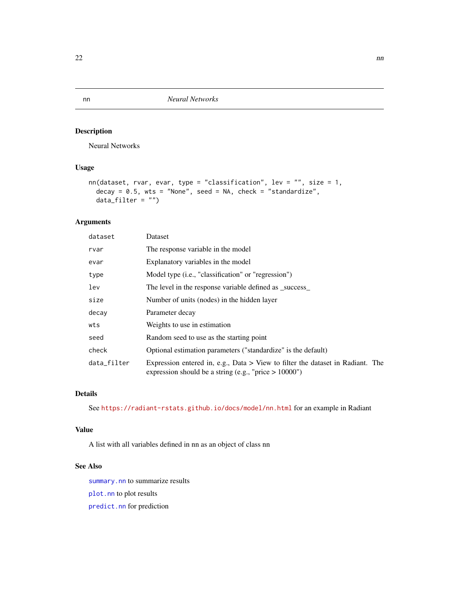<span id="page-21-1"></span><span id="page-21-0"></span>Neural Networks

#### Usage

```
nn(dataset, rvar, evar, type = "classification", lev = "", size = 1,
 decay = 0.5, wts = "None", seed = NA, check = "standardize",
 data_fitter = "")
```
# Arguments

| dataset     | Dataset                                                                                                                                      |
|-------------|----------------------------------------------------------------------------------------------------------------------------------------------|
| rvar        | The response variable in the model                                                                                                           |
| evar        | Explanatory variables in the model                                                                                                           |
| type        | Model type (i.e., "classification" or "regression")                                                                                          |
| lev         | The level in the response variable defined as _success_                                                                                      |
| size        | Number of units (nodes) in the hidden layer                                                                                                  |
| decay       | Parameter decay                                                                                                                              |
| wts         | Weights to use in estimation                                                                                                                 |
| seed        | Random seed to use as the starting point                                                                                                     |
| check       | Optional estimation parameters ("standardize" is the default)                                                                                |
| data_filter | Expression entered in, e.g., Data $>$ View to filter the dataset in Radiant. The<br>expression should be a string (e.g., "price $> 10000$ ") |

#### Details

See <https://radiant-rstats.github.io/docs/model/nn.html> for an example in Radiant

#### Value

A list with all variables defined in nn as an object of class nn

# See Also

[summary.nn](#page-68-2) to summarize results [plot.nn](#page-32-1) to plot results [predict.nn](#page-39-1) for prediction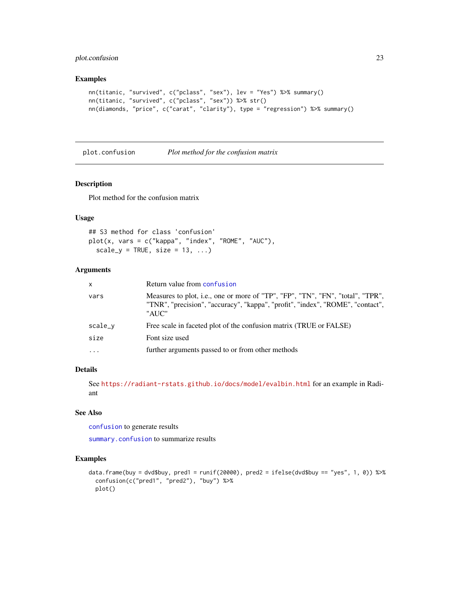# <span id="page-22-0"></span>plot.confusion 23

#### Examples

```
nn(titanic, "survived", c("pclass", "sex"), lev = "Yes") %>% summary()
nn(titanic, "survived", c("pclass", "sex")) %>% str()
nn(diamonds, "price", c("carat", "clarity"), type = "regression") %>% summary()
```
<span id="page-22-1"></span>plot.confusion *Plot method for the confusion matrix*

#### Description

Plot method for the confusion matrix

#### Usage

```
## S3 method for class 'confusion'
plot(x, vars = c("kappa", "index", "ROME", "AUC"),
  scale_y = TRUE, size = 13, ...
```
# Arguments

| $\mathsf{x}$ | Return value from confusion                                                                                                                                               |
|--------------|---------------------------------------------------------------------------------------------------------------------------------------------------------------------------|
| vars         | Measures to plot, i.e., one or more of "TP", "FP", "TN", "FN", "total", "TPR",<br>"TNR", "precision", "accuracy", "kappa", "profit", "index", "ROME", "contact",<br>"AUC" |
| scale_v      | Free scale in faceted plot of the confusion matrix (TRUE or FALSE)                                                                                                        |
| size         | Font size used                                                                                                                                                            |
| $\cdots$     | further arguments passed to or from other methods                                                                                                                         |

# Details

See <https://radiant-rstats.github.io/docs/model/evalbin.html> for an example in Radiant

# See Also

[confusion](#page-5-1) to generate results

[summary.confusion](#page-62-1) to summarize results

```
data.frame(buy = dvd$buy, pred1 = runif(20000), pred2 = ifelse(dvd$buy == "yes", 1, 0)) %>%
 confusion(c("pred1", "pred2"), "buy") %>%
 plot()
```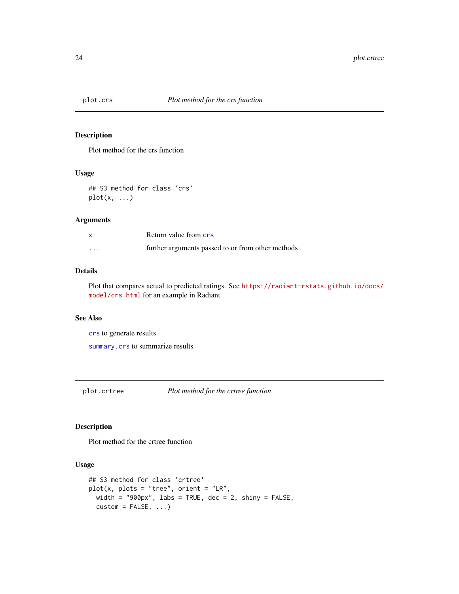<span id="page-23-1"></span><span id="page-23-0"></span>

Plot method for the crs function

# Usage

## S3 method for class 'crs' plot(x, ...)

#### Arguments

|                      | Return value from crs                             |
|----------------------|---------------------------------------------------|
| $\ddot{\phantom{0}}$ | further arguments passed to or from other methods |

#### Details

Plot that compares actual to predicted ratings. See [https://radiant-rstats.github.io/docs/](https://radiant-rstats.github.io/docs/model/crs.html) [model/crs.html](https://radiant-rstats.github.io/docs/model/crs.html) for an example in Radiant

# See Also

[crs](#page-6-1) to generate results

[summary.crs](#page-63-1) to summarize results

<span id="page-23-2"></span>

plot.crtree *Plot method for the crtree function*

# Description

Plot method for the crtree function

# Usage

```
## S3 method for class 'crtree'
plot(x, plots = "tree", orient = "LR",width = "900px", labs = TRUE, dec = 2, shiny = FALSE,
  \text{custom} = \text{FALSE}, \ldots)
```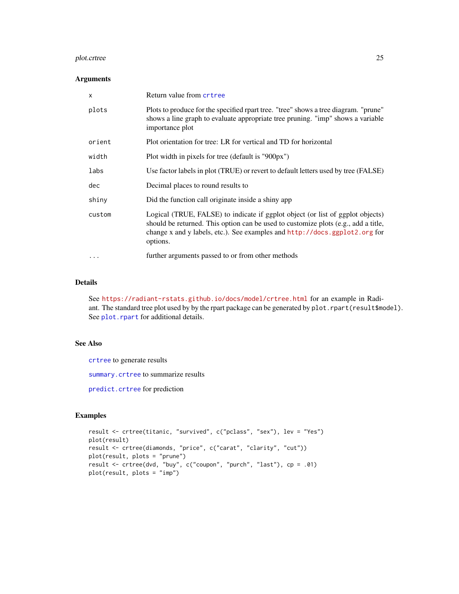# plot.crtree 25

#### Arguments

| X         | Return value from crtree                                                                                                                                                                                                                                       |
|-----------|----------------------------------------------------------------------------------------------------------------------------------------------------------------------------------------------------------------------------------------------------------------|
| plots     | Plots to produce for the specified rpart tree. "tree" shows a tree diagram. "prune"<br>shows a line graph to evaluate appropriate tree pruning. "imp" shows a variable<br>importance plot                                                                      |
| orient    | Plot orientation for tree: LR for vertical and TD for horizontal                                                                                                                                                                                               |
| width     | Plot width in pixels for tree (default is "900px")                                                                                                                                                                                                             |
| labs      | Use factor labels in plot (TRUE) or revert to default letters used by tree (FALSE)                                                                                                                                                                             |
| dec       | Decimal places to round results to                                                                                                                                                                                                                             |
| shiny     | Did the function call originate inside a shiny app                                                                                                                                                                                                             |
| custom    | Logical (TRUE, FALSE) to indicate if ggplot object (or list of ggplot objects)<br>should be returned. This option can be used to customize plots (e.g., add a title,<br>change x and y labels, etc.). See examples and http://docs.ggplot2.org for<br>options. |
| $\ddotsc$ | further arguments passed to or from other methods                                                                                                                                                                                                              |

#### Details

See <https://radiant-rstats.github.io/docs/model/crtree.html> for an example in Radiant. The standard tree plot used by by the rpart package can be generated by plot.rpart(result\$model). See [plot.rpart](#page-0-0) for additional details.

# See Also

[crtree](#page-7-1) to generate results

[summary.crtree](#page-63-2) to summarize results

[predict.crtree](#page-36-1) for prediction

```
result <- crtree(titanic, "survived", c("pclass", "sex"), lev = "Yes")
plot(result)
result <- crtree(diamonds, "price", c("carat", "clarity", "cut"))
plot(result, plots = "prune")
result <- crtree(dvd, "buy", c("coupon", "purch", "last"), cp = .01)
plot(result, plots = "imp")
```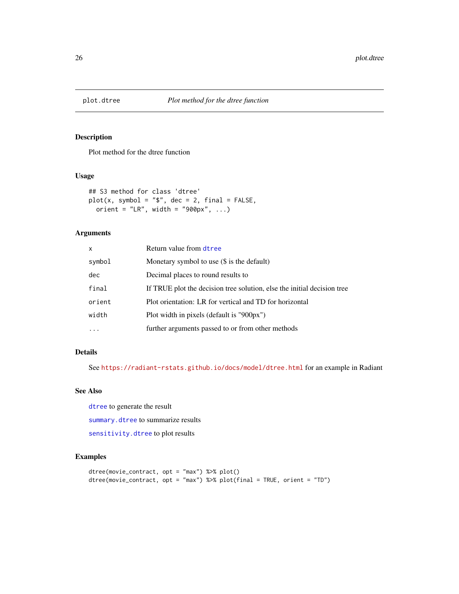<span id="page-25-1"></span><span id="page-25-0"></span>

Plot method for the dtree function

#### Usage

```
## S3 method for class 'dtree'
plot(x, symbol = "$", dec = 2, final = FALSE,orient = "LR", width = "900px", ...)
```
#### Arguments

| $\mathsf{x}$ | Return value from dtree                                                 |
|--------------|-------------------------------------------------------------------------|
| symbol       | Monetary symbol to use $(\$$ is the default)                            |
| dec          | Decimal places to round results to                                      |
| final        | If TRUE plot the decision tree solution, else the initial decision tree |
| orient       | Plot orientation: LR for vertical and TD for horizontal                 |
| width        | Plot width in pixels (default is "900px")                               |
| $\cdot$      | further arguments passed to or from other methods                       |

# Details

See <https://radiant-rstats.github.io/docs/model/dtree.html> for an example in Radiant

#### See Also

[dtree](#page-11-1) to generate the result

[summary.dtree](#page-64-1) to summarize results

[sensitivity.dtree](#page-54-1) to plot results

```
dtree(movie_contract, opt = "max") %>% plot()
dtree(movie_contract, opt = "max") %>% plot(final = TRUE, orient = "TD")
```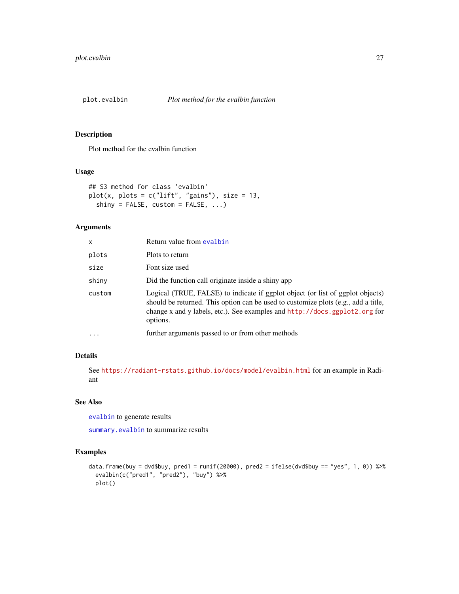<span id="page-26-1"></span><span id="page-26-0"></span>

Plot method for the evalbin function

#### Usage

```
## S3 method for class 'evalbin'
plot(x, plots = c("lift", "gains"), size = 13,shiny = FALSE, custom = FALSE, ...
```
# Arguments

| x      | Return value from evalbin                                                                                                                                                                                                                                      |
|--------|----------------------------------------------------------------------------------------------------------------------------------------------------------------------------------------------------------------------------------------------------------------|
| plots  | Plots to return                                                                                                                                                                                                                                                |
| size   | Font size used                                                                                                                                                                                                                                                 |
| shiny  | Did the function call originate inside a shiny app                                                                                                                                                                                                             |
| custom | Logical (TRUE, FALSE) to indicate if ggplot object (or list of ggplot objects)<br>should be returned. This option can be used to customize plots (e.g., add a title,<br>change x and y labels, etc.). See examples and http://docs.ggplot2.org for<br>options. |
| .      | further arguments passed to or from other methods                                                                                                                                                                                                              |
|        |                                                                                                                                                                                                                                                                |

# Details

See <https://radiant-rstats.github.io/docs/model/evalbin.html> for an example in Radiant

#### See Also

[evalbin](#page-13-1) to generate results

[summary.evalbin](#page-65-1) to summarize results

```
data.frame(buy = dvd$buy, pred1 = runif(20000), pred2 = ifelse(dvd$buy == "yes", 1, 0)) %>%
 evalbin(c("pred1", "pred2"), "buy") %>%
 plot()
```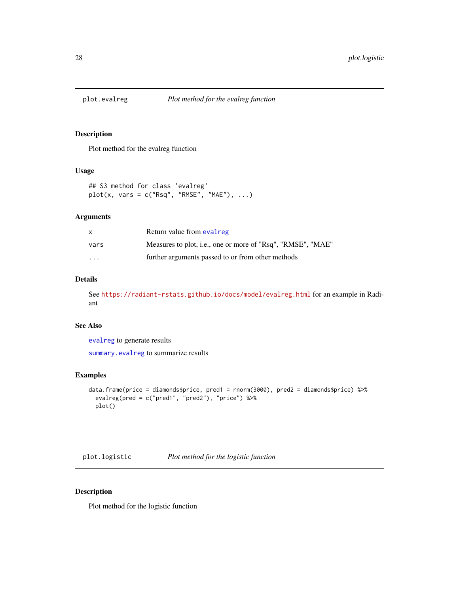<span id="page-27-1"></span><span id="page-27-0"></span>

Plot method for the evalreg function

# Usage

```
## S3 method for class 'evalreg'
plot(x, vars = c("Rsq", "RMSE", "MAE"), ...)
```
# Arguments

|                      | Return value from evalreg                                   |
|----------------------|-------------------------------------------------------------|
| vars                 | Measures to plot, i.e., one or more of "Rsq", "RMSE", "MAE" |
| $\ddot{\phantom{0}}$ | further arguments passed to or from other methods           |

#### Details

See <https://radiant-rstats.github.io/docs/model/evalreg.html> for an example in Radiant

#### See Also

[evalreg](#page-14-1) to generate results

[summary.evalreg](#page-66-1) to summarize results

#### Examples

```
data.frame(price = diamonds$price, pred1 = rnorm(3000), pred2 = diamonds$price) %>%
  evalreg(pred = c("pred1", "pred2"), "price") %>%
  plot()
```
<span id="page-27-2"></span>plot.logistic *Plot method for the logistic function*

# Description

Plot method for the logistic function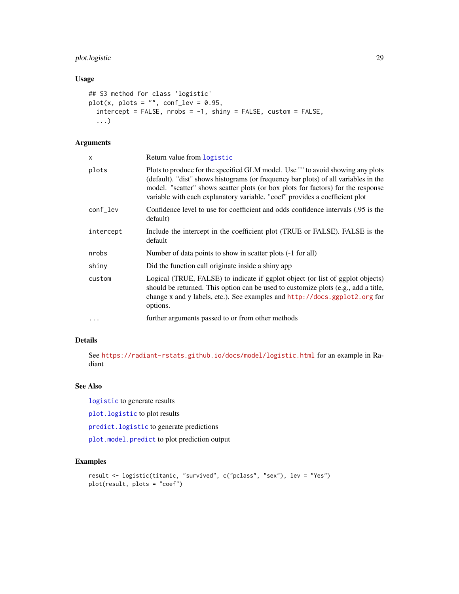# plot.logistic 29

# Usage

```
## S3 method for class 'logistic'
plot(x, plots = "", conf\_lev = 0.95,intercept = FALSE, nrobs = -1, shiny = FALSE, custom = FALSE,
  ...)
```
# Arguments

| X         | Return value from logistic                                                                                                                                                                                                                                                                                                                |
|-----------|-------------------------------------------------------------------------------------------------------------------------------------------------------------------------------------------------------------------------------------------------------------------------------------------------------------------------------------------|
| plots     | Plots to produce for the specified GLM model. Use "" to avoid showing any plots<br>(default). "dist" shows histograms (or frequency bar plots) of all variables in the<br>model. "scatter" shows scatter plots (or box plots for factors) for the response<br>variable with each explanatory variable. "coef" provides a coefficient plot |
| conf_lev  | Confidence level to use for coefficient and odds confidence intervals (.95 is the<br>default)                                                                                                                                                                                                                                             |
| intercept | Include the intercept in the coefficient plot (TRUE or FALSE). FALSE is the<br>default                                                                                                                                                                                                                                                    |
| nrobs     | Number of data points to show in scatter plots (-1 for all)                                                                                                                                                                                                                                                                               |
| shiny     | Did the function call originate inside a shiny app                                                                                                                                                                                                                                                                                        |
| custom    | Logical (TRUE, FALSE) to indicate if ggplot object (or list of ggplot objects)<br>should be returned. This option can be used to customize plots (e.g., add a title,<br>change x and y labels, etc.). See examples and http://docs.ggplot2.org for<br>options.                                                                            |
| $\ddotsc$ | further arguments passed to or from other methods                                                                                                                                                                                                                                                                                         |

# Details

See <https://radiant-rstats.github.io/docs/model/logistic.html> for an example in Radiant

# See Also

[logistic](#page-17-1) to generate results

[plot.logistic](#page-27-2) to plot results

[predict.logistic](#page-37-1) to generate predictions

[plot.model.predict](#page-29-1) to plot prediction output

```
result <- logistic(titanic, "survived", c("pclass", "sex"), lev = "Yes")
plot(result, plots = "coef")
```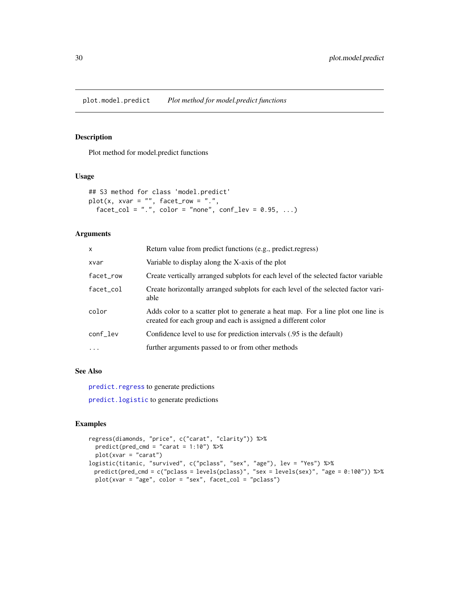<span id="page-29-1"></span><span id="page-29-0"></span>plot.model.predict *Plot method for model.predict functions*

# Description

Plot method for model.predict functions

# Usage

```
## S3 method for class 'model.predict'
plot(x, xvar = "", facet-row = "."factor\_col = ".", color = "none", conf\_lev = 0.95, ...)
```
#### Arguments

| Return value from predict functions (e.g., predict.regress)                                                                                       |
|---------------------------------------------------------------------------------------------------------------------------------------------------|
| Variable to display along the X-axis of the plot                                                                                                  |
| Create vertically arranged subplots for each level of the selected factor variable                                                                |
| Create horizontally arranged subplots for each level of the selected factor vari-<br>able                                                         |
| Adds color to a scatter plot to generate a heat map. For a line plot one line is<br>created for each group and each is assigned a different color |
| Confidence level to use for prediction intervals (.95 is the default)                                                                             |
| further arguments passed to or from other methods                                                                                                 |
|                                                                                                                                                   |

# See Also

[predict.regress](#page-40-1) to generate predictions

[predict.logistic](#page-37-1) to generate predictions

```
regress(diamonds, "price", c("carat", "clarity")) %>%
 predict(pred_cmd = "carat = 1:10") %>%
 plot(xvar = "carat")
logistic(titanic, "survived", c("pclass", "sex", "age"), lev = "Yes") %>%
 predict(pred_cmd = c("pclass = levels(pclass)", "sex = levels(sex)", "age = 0:100")) %>%
 plot(xvar = "age", color = "sex", facet_col = "pclass")
```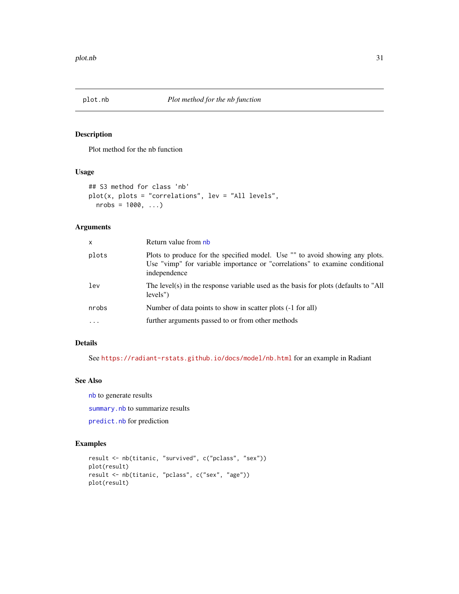<span id="page-30-1"></span><span id="page-30-0"></span>

Plot method for the nb function

#### Usage

```
## S3 method for class 'nb'
plot(x, plots = "correlations", lev = "All levels",
 nrobs = 1000, ...
```
# Arguments

| $\mathsf{x}$ | Return value from nb                                                                                                                                                        |
|--------------|-----------------------------------------------------------------------------------------------------------------------------------------------------------------------------|
| plots        | Plots to produce for the specified model. Use "" to avoid showing any plots.<br>Use "vimp" for variable importance or "correlations" to examine conditional<br>independence |
| lev          | The level(s) in the response variable used as the basis for plots (defaults to "All<br>levels")                                                                             |
| nrobs        | Number of data points to show in scatter plots (-1 for all)                                                                                                                 |
| $\ddotsc$    | further arguments passed to or from other methods                                                                                                                           |

# Details

See <https://radiant-rstats.github.io/docs/model/nb.html> for an example in Radiant

# See Also

[nb](#page-20-1) to generate results

[summary.nb](#page-68-1) to summarize results

[predict.nb](#page-38-1) for prediction

```
result <- nb(titanic, "survived", c("pclass", "sex"))
plot(result)
result <- nb(titanic, "pclass", c("sex", "age"))
plot(result)
```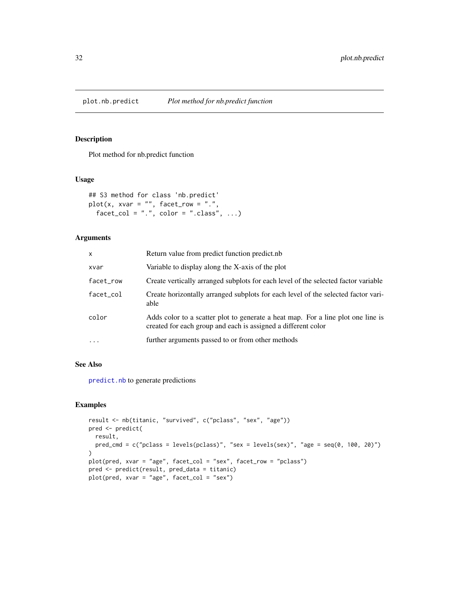<span id="page-31-0"></span>

Plot method for nb.predict function

#### Usage

```
## S3 method for class 'nb.predict'
plot(x, xvar = "", facet_{row} = ".",factor\_col = ".", color = ".class"....)
```
#### Arguments

| X          | Return value from predict function predict.nb                                                                                                     |
|------------|---------------------------------------------------------------------------------------------------------------------------------------------------|
| xvar       | Variable to display along the X-axis of the plot                                                                                                  |
| facet_row  | Create vertically arranged subplots for each level of the selected factor variable                                                                |
| facet col  | Create horizontally arranged subplots for each level of the selected factor vari-<br>able                                                         |
| color      | Adds color to a scatter plot to generate a heat map. For a line plot one line is<br>created for each group and each is assigned a different color |
| $\ddots$ . | further arguments passed to or from other methods                                                                                                 |

#### See Also

[predict.nb](#page-38-1) to generate predictions

```
result <- nb(titanic, "survived", c("pclass", "sex", "age"))
pred <- predict(
 result,
 pred_cmd = c("pclass = levels(pclass)", "sex = levels(sex)", "age = seq(0, 100, 20)")
\mathcal{L}plot(pred, xvar = "age", facet_col = "sex", facet_row = "pclass")
pred <- predict(result, pred_data = titanic)
plot(pred, xvar = "age", facet_col = "sex")
```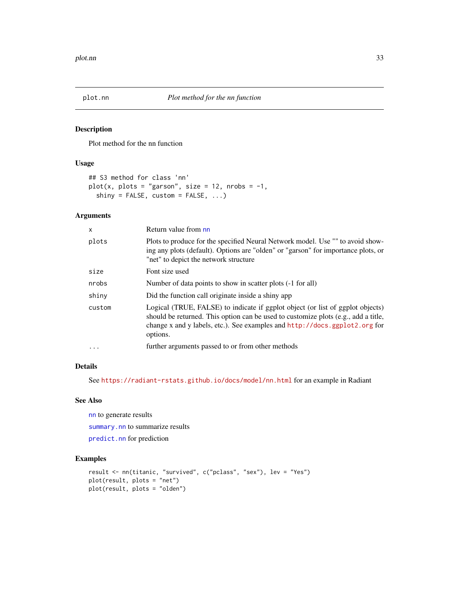<span id="page-32-1"></span><span id="page-32-0"></span>

Plot method for the nn function

# Usage

```
## S3 method for class 'nn'
plot(x, plots = "garson", size = 12, nrobs = -1,
  shiny = FALSE, custom = FALSE, ...)
```
# Arguments

| X        | Return value from nn                                                                                                                                                                                                                                           |
|----------|----------------------------------------------------------------------------------------------------------------------------------------------------------------------------------------------------------------------------------------------------------------|
| plots    | Plots to produce for the specified Neural Network model. Use "" to avoid show-<br>ing any plots (default). Options are "olden" or "garson" for importance plots, or<br>"net" to depict the network structure                                                   |
| size     | Font size used                                                                                                                                                                                                                                                 |
| nrobs    | Number of data points to show in scatter plots (-1 for all)                                                                                                                                                                                                    |
| shiny    | Did the function call originate inside a shiny app                                                                                                                                                                                                             |
| custom   | Logical (TRUE, FALSE) to indicate if ggplot object (or list of ggplot objects)<br>should be returned. This option can be used to customize plots (e.g., add a title,<br>change x and y labels, etc.). See examples and http://docs.ggplot2.org for<br>options. |
| $\cdots$ | further arguments passed to or from other methods                                                                                                                                                                                                              |

#### Details

See <https://radiant-rstats.github.io/docs/model/nn.html> for an example in Radiant

#### See Also

[nn](#page-21-1) to generate results

[summary.nn](#page-68-2) to summarize results

[predict.nn](#page-39-1) for prediction

```
result <- nn(titanic, "survived", c("pclass", "sex"), lev = "Yes")
plot(result, plots = "net")
plot(result, plots = "olden")
```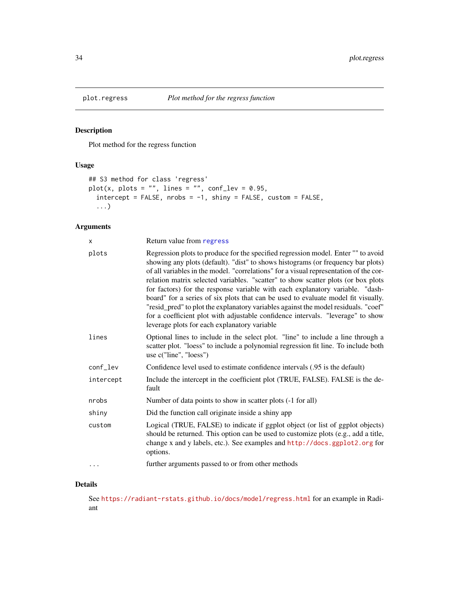<span id="page-33-0"></span>

Plot method for the regress function

# Usage

```
## S3 method for class 'regress'
plot(x, plots = "", lines = "", conf\_lev = 0.95,intercept = FALSE, nrobs = -1, ship = FALSE, custom = FALSE,...)
```
# Arguments

| x         | Return value from regress                                                                                                                                                                                                                                                                                                                                                                                                                                                                                                                                                                                                                                                                                                                          |
|-----------|----------------------------------------------------------------------------------------------------------------------------------------------------------------------------------------------------------------------------------------------------------------------------------------------------------------------------------------------------------------------------------------------------------------------------------------------------------------------------------------------------------------------------------------------------------------------------------------------------------------------------------------------------------------------------------------------------------------------------------------------------|
| plots     | Regression plots to produce for the specified regression model. Enter "" to avoid<br>showing any plots (default). "dist" to shows histograms (or frequency bar plots)<br>of all variables in the model. "correlations" for a visual representation of the cor-<br>relation matrix selected variables. "scatter" to show scatter plots (or box plots<br>for factors) for the response variable with each explanatory variable. "dash-<br>board" for a series of six plots that can be used to evaluate model fit visually.<br>"resid_pred" to plot the explanatory variables against the model residuals. "coef"<br>for a coefficient plot with adjustable confidence intervals. "leverage" to show<br>leverage plots for each explanatory variable |
| lines     | Optional lines to include in the select plot. "line" to include a line through a<br>scatter plot. "loess" to include a polynomial regression fit line. To include both<br>use c("line", "loess")                                                                                                                                                                                                                                                                                                                                                                                                                                                                                                                                                   |
| conf_lev  | Confidence level used to estimate confidence intervals (.95 is the default)                                                                                                                                                                                                                                                                                                                                                                                                                                                                                                                                                                                                                                                                        |
| intercept | Include the intercept in the coefficient plot (TRUE, FALSE). FALSE is the de-<br>fault                                                                                                                                                                                                                                                                                                                                                                                                                                                                                                                                                                                                                                                             |
| nrobs     | Number of data points to show in scatter plots (-1 for all)                                                                                                                                                                                                                                                                                                                                                                                                                                                                                                                                                                                                                                                                                        |
| shiny     | Did the function call originate inside a shiny app                                                                                                                                                                                                                                                                                                                                                                                                                                                                                                                                                                                                                                                                                                 |
| custom    | Logical (TRUE, FALSE) to indicate if ggplot object (or list of ggplot objects)<br>should be returned. This option can be used to customize plots (e.g., add a title,<br>change x and y labels, etc.). See examples and http://docs.ggplot2.org for<br>options.                                                                                                                                                                                                                                                                                                                                                                                                                                                                                     |
| $\cdots$  | further arguments passed to or from other methods                                                                                                                                                                                                                                                                                                                                                                                                                                                                                                                                                                                                                                                                                                  |

#### Details

See <https://radiant-rstats.github.io/docs/model/regress.html> for an example in Radiant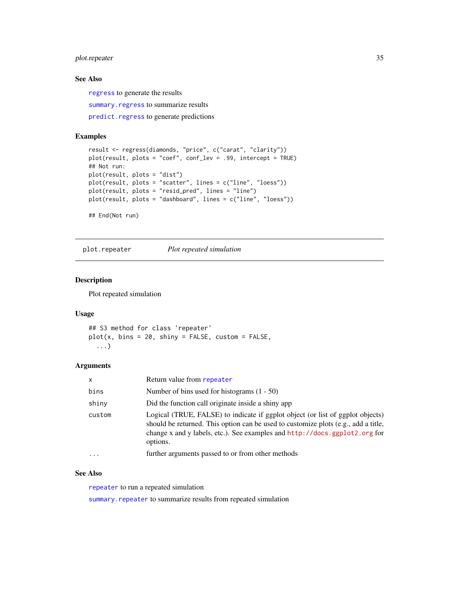# <span id="page-34-0"></span>plot.repeater 35

#### See Also

[regress](#page-48-1) to generate the results

summary. regress to summarize results

[predict.regress](#page-40-1) to generate predictions

# Examples

```
result <- regress(diamonds, "price", c("carat", "clarity"))
plot(result, plots = "coef", conf_lev = .99, intercept = TRUE)
## Not run:
plot(result, plots = "dist")
plot(result, plots = "scatter", lines = c("line", "loess"))
plot(result, plots = "resid_pred", lines = "line")
plot(result, plots = "dashboard", lines = c("line", "loess"))
```
## End(Not run)

plot.repeater *Plot repeated simulation*

# Description

Plot repeated simulation

# Usage

```
## S3 method for class 'repeater'
plot(x, bins = 20, ship = FALSE, custom = FALSE,...)
```
#### Arguments

| $\mathsf{x}$ | Return value from repeater                                                                                                                                                                                                                                     |
|--------------|----------------------------------------------------------------------------------------------------------------------------------------------------------------------------------------------------------------------------------------------------------------|
| bins         | Number of bins used for histograms $(1 - 50)$                                                                                                                                                                                                                  |
| shiny        | Did the function call originate inside a shiny app                                                                                                                                                                                                             |
| custom       | Logical (TRUE, FALSE) to indicate if ggplot object (or list of ggplot objects)<br>should be returned. This option can be used to customize plots (e.g., add a title,<br>change x and y labels, etc.). See examples and http://docs.ggplot2.org for<br>options. |
| $\cdots$     | further arguments passed to or from other methods                                                                                                                                                                                                              |

#### See Also

[repeater](#page-50-1) to run a repeated simulation

summary. repeater to summarize results from repeated simulation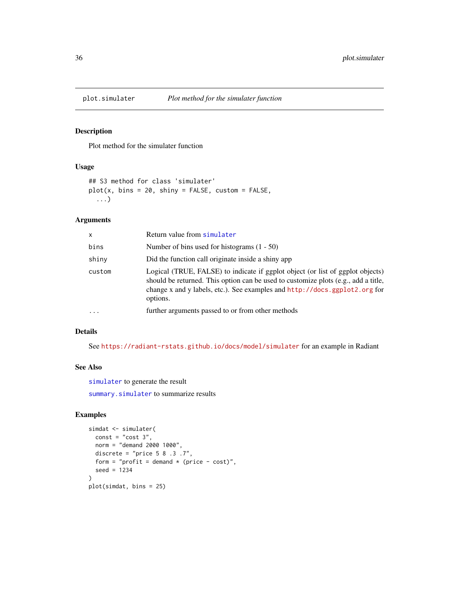<span id="page-35-0"></span>

Plot method for the simulater function

#### Usage

```
## S3 method for class 'simulater'
plot(x, bins = 20, ship = FALSE, custom = FALSE,...)
```
#### Arguments

| x      | Return value from simulater                                                                                                                                                                                                                                    |
|--------|----------------------------------------------------------------------------------------------------------------------------------------------------------------------------------------------------------------------------------------------------------------|
| bins   | Number of bins used for histograms $(1 - 50)$                                                                                                                                                                                                                  |
| shiny  | Did the function call originate inside a shiny app                                                                                                                                                                                                             |
| custom | Logical (TRUE, FALSE) to indicate if ggplot object (or list of ggplot objects)<br>should be returned. This option can be used to customize plots (e.g., add a title,<br>change x and y labels, etc.). See examples and http://docs.ggplot2.org for<br>options. |
| .      | further arguments passed to or from other methods                                                                                                                                                                                                              |

# Details

See <https://radiant-rstats.github.io/docs/model/simulater> for an example in Radiant

# See Also

[simulater](#page-55-1) to generate the result

[summary.simulater](#page-71-1) to summarize results

```
simdat <- simulater(
  const = "cost 3",norm = "demand 2000 1000",
  discrete = "price 5 \, 8 \, .3 \, .7",
  form = "profit = demand * (price - cost)",
  seed = 1234
\mathcal{L}plot(simdat, bins = 25)
```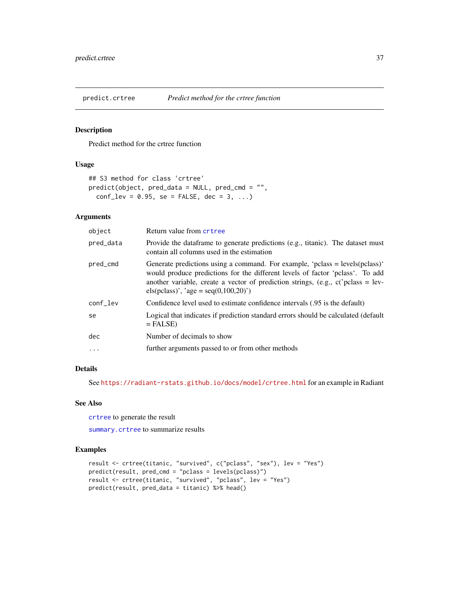<span id="page-36-0"></span>

Predict method for the crtree function

#### Usage

```
## S3 method for class 'crtree'
predict(object, pred_data = NULL, pred_cmd = "",
 conf\_lev = 0.95, se = FALSE, dec = 3, ...)
```
#### Arguments

| object            | Return value from crtree                                                                                                                                                                                                                                                                        |
|-------------------|-------------------------------------------------------------------------------------------------------------------------------------------------------------------------------------------------------------------------------------------------------------------------------------------------|
| pred_data         | Provide the data frame to generate predictions (e.g., titanic). The dataset must<br>contain all columns used in the estimation                                                                                                                                                                  |
| pred_cmd          | Generate predictions using a command. For example, 'pclass = $levels(pclass)'$<br>would produce predictions for the different levels of factor 'pclass'. To add<br>another variable, create a vector of prediction strings, (e.g., $c$ c) pclass = lev-<br>els(pclass)', 'age = seq(0,100,20)') |
| conf_lev          | Confidence level used to estimate confidence intervals (.95 is the default)                                                                                                                                                                                                                     |
| se                | Logical that indicates if prediction standard errors should be calculated (default<br>$=$ FALSE)                                                                                                                                                                                                |
| dec               | Number of decimals to show                                                                                                                                                                                                                                                                      |
| $\cdot\cdot\cdot$ | further arguments passed to or from other methods                                                                                                                                                                                                                                               |

#### Details

See <https://radiant-rstats.github.io/docs/model/crtree.html> for an example in Radiant

#### See Also

[crtree](#page-7-0) to generate the result

[summary.crtree](#page-63-0) to summarize results

## Examples

```
result <- crtree(titanic, "survived", c("pclass", "sex"), lev = "Yes")
predict(result, pred_cmd = "pclass = levels(pclass)")
result <- crtree(titanic, "survived", "pclass", lev = "Yes")
predict(result, pred_data = titanic) %>% head()
```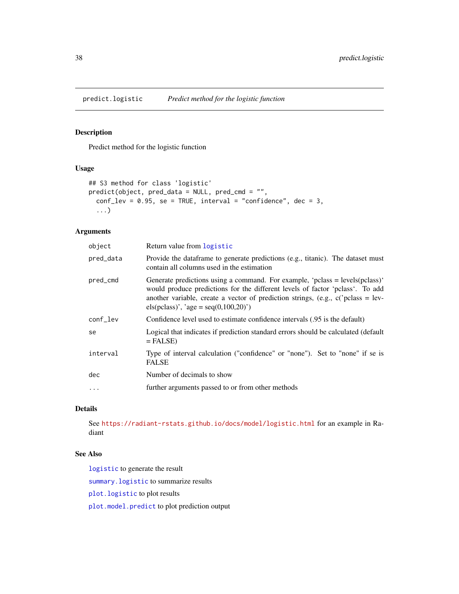<span id="page-37-0"></span>predict.logistic *Predict method for the logistic function*

## Description

Predict method for the logistic function

# Usage

```
## S3 method for class 'logistic'
predict(object, pred_data = NULL, pred_cmd = "",
  conf\_lev = 0.95, se = TRUE, interval = "confidence", dec = 3,
  ...)
```
# Arguments

| object    | Return value from logistic                                                                                                                                                                                                                                                                      |
|-----------|-------------------------------------------------------------------------------------------------------------------------------------------------------------------------------------------------------------------------------------------------------------------------------------------------|
| pred_data | Provide the dataframe to generate predictions (e.g., titanic). The dataset must<br>contain all columns used in the estimation                                                                                                                                                                   |
| pred_cmd  | Generate predictions using a command. For example, 'pclass = $levels(pclass)'$<br>would produce predictions for the different levels of factor 'pclass'. To add<br>another variable, create a vector of prediction strings, (e.g., $c$ c) pclass = lev-<br>els(pclass)', 'age = seq(0,100,20)') |
| conf_lev  | Confidence level used to estimate confidence intervals (.95 is the default)                                                                                                                                                                                                                     |
| se        | Logical that indicates if prediction standard errors should be calculated (default<br>$=$ FALSE)                                                                                                                                                                                                |
| interval  | Type of interval calculation ("confidence" or "none"). Set to "none" if se is<br><b>FALSE</b>                                                                                                                                                                                                   |
| dec       | Number of decimals to show                                                                                                                                                                                                                                                                      |
| $\cdots$  | further arguments passed to or from other methods                                                                                                                                                                                                                                               |
|           |                                                                                                                                                                                                                                                                                                 |

# Details

See <https://radiant-rstats.github.io/docs/model/logistic.html> for an example in Radiant

#### See Also

[logistic](#page-17-0) to generate the result

[summary.logistic](#page-67-0) to summarize results

[plot.logistic](#page-27-0) to plot results

[plot.model.predict](#page-29-0) to plot prediction output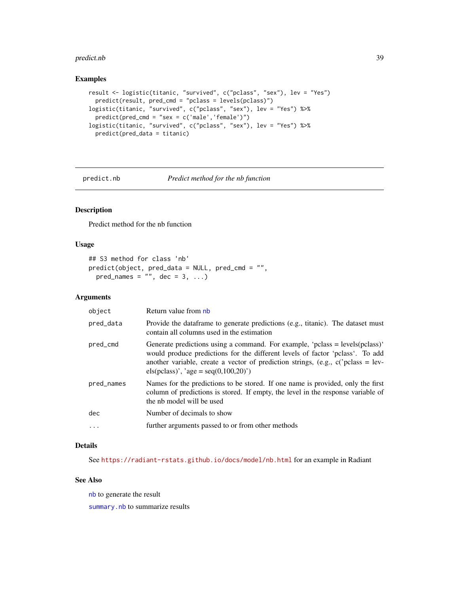#### predict.nb 39

#### Examples

```
result <- logistic(titanic, "survived", c("pclass", "sex"), lev = "Yes")
  predict(result, pred_cmd = "pclass = levels(pclass)")
logistic(titanic, "survived", c("pclass", "sex"), lev = "Yes") %>%
  predict(pred_cmd = "sex = c('male','female')")
logistic(titanic, "survived", c("pclass", "sex"), lev = "Yes") %>%
  predict(pred_data = titanic)
```
<span id="page-38-0"></span>

predict.nb *Predict method for the nb function*

# Description

Predict method for the nb function

# Usage

```
## S3 method for class 'nb'
predict(object, pred_data = NULL, pred_cmd = "",
 pred_names = ", dec = 3, ...)
```
#### Arguments

| object     | Return value from nb                                                                                                                                                                                                                                                                          |
|------------|-----------------------------------------------------------------------------------------------------------------------------------------------------------------------------------------------------------------------------------------------------------------------------------------------|
| pred_data  | Provide the dataframe to generate predictions (e.g., titanic). The dataset must<br>contain all columns used in the estimation                                                                                                                                                                 |
| pred_cmd   | Generate predictions using a command. For example, 'pclass = $levels(pclass)'$<br>would produce predictions for the different levels of factor 'pclass'. To add<br>another variable, create a vector of prediction strings, (e.g., $c$ ) class = lev-<br>els(pclass)', 'age = seq(0,100,20)') |
| pred_names | Names for the predictions to be stored. If one name is provided, only the first<br>column of predictions is stored. If empty, the level in the response variable of<br>the nb model will be used                                                                                              |
| dec        | Number of decimals to show                                                                                                                                                                                                                                                                    |
| $\cdots$   | further arguments passed to or from other methods                                                                                                                                                                                                                                             |

# Details

See <https://radiant-rstats.github.io/docs/model/nb.html> for an example in Radiant

#### See Also

[nb](#page-20-0) to generate the result

[summary.nb](#page-68-0) to summarize results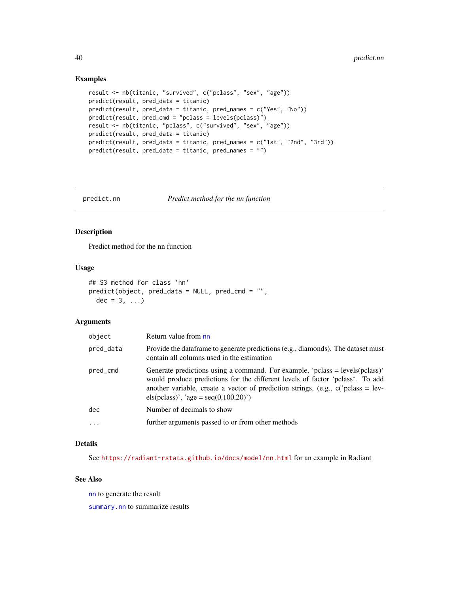#### Examples

```
result <- nb(titanic, "survived", c("pclass", "sex", "age"))
predict(result, pred_data = titanic)
predict(result, pred_data = titanic, pred_names = c("Yes", "No"))
predict(result, pred_cmd = "pclass = levels(pclass)")
result <- nb(titanic, "pclass", c("survived", "sex", "age"))
predict(result, pred_data = titanic)
predict(result, pred_data = titanic, pred_names = c("1st", "2nd", "3rd"))
predict(result, pred_data = titanic, pred_names = "")
```
<span id="page-39-0"></span>predict.nn *Predict method for the nn function*

# Description

Predict method for the nn function

#### Usage

```
## S3 method for class 'nn'
predict(object, pred_data = NULL, pred_cmd = "",
  dec = 3, \ldots)
```
# Arguments

| object    | Return value from nn                                                                                                                                                                                                                                                                          |
|-----------|-----------------------------------------------------------------------------------------------------------------------------------------------------------------------------------------------------------------------------------------------------------------------------------------------|
| pred_data | Provide the data frame to generate predictions (e.g., diamonds). The dataset must<br>contain all columns used in the estimation                                                                                                                                                               |
| pred_cmd  | Generate predictions using a command. For example, 'pclass = $levels(pclass)'$<br>would produce predictions for the different levels of factor 'pclass'. To add<br>another variable, create a vector of prediction strings, (e.g., $c$ ) class = lev-<br>els(pclass)', 'age = seq(0,100,20)') |
| dec       | Number of decimals to show                                                                                                                                                                                                                                                                    |
|           | further arguments passed to or from other methods                                                                                                                                                                                                                                             |

#### Details

See <https://radiant-rstats.github.io/docs/model/nn.html> for an example in Radiant

#### See Also

[nn](#page-21-0) to generate the result

[summary.nn](#page-68-1) to summarize results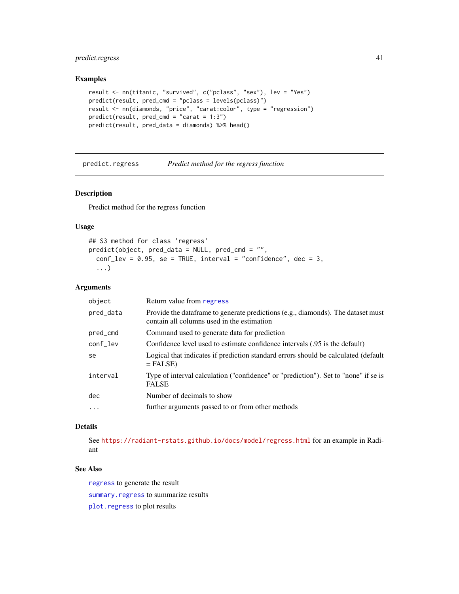# predict.regress 41

#### Examples

```
result <- nn(titanic, "survived", c("pclass", "sex"), lev = "Yes")
predict(result, pred_cmd = "pclass = levels(pclass)")
result <- nn(diamonds, "price", "carat:color", type = "regression")
predict(result, pred\_cmd = "carat = 1:3")predict(result, pred_data = diamonds) %>% head()
```
<span id="page-40-0"></span>predict.regress *Predict method for the regress function*

#### Description

Predict method for the regress function

#### Usage

```
## S3 method for class 'regress'
predict(object, pred_data = NULL, pred_cmd = "",
  conf\_lev = 0.95, se = TRUE, interval = "confidence", dec = 3,
  ...)
```
#### Arguments

| object     | Return value from regress                                                                                                       |
|------------|---------------------------------------------------------------------------------------------------------------------------------|
| pred_data  | Provide the data frame to generate predictions (e.g., diamonds). The dataset must<br>contain all columns used in the estimation |
| pred_cmd   | Command used to generate data for prediction                                                                                    |
| conf_lev   | Confidence level used to estimate confidence intervals (.95 is the default)                                                     |
| se         | Logical that indicates if prediction standard errors should be calculated (default<br>$=$ FALSE)                                |
| interval   | Type of interval calculation ("confidence" or "prediction"). Set to "none" if se is<br><b>FALSE</b>                             |
| dec        | Number of decimals to show                                                                                                      |
| $\ddots$ . | further arguments passed to or from other methods                                                                               |

#### Details

See <https://radiant-rstats.github.io/docs/model/regress.html> for an example in Radiant

#### See Also

[regress](#page-48-0) to generate the result

[summary.regress](#page-69-0) to summarize results

[plot.regress](#page-33-0) to plot results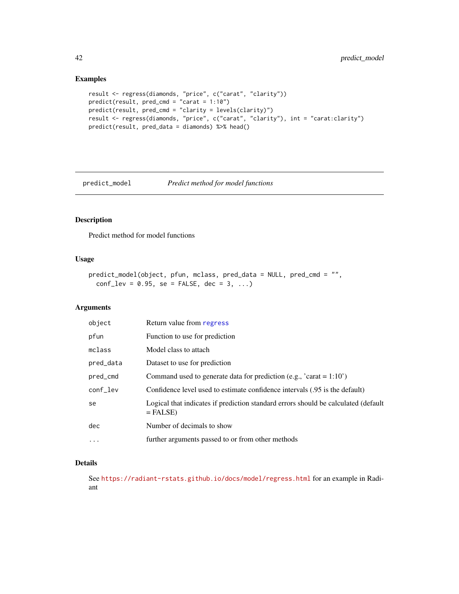# Examples

```
result <- regress(diamonds, "price", c("carat", "clarity"))
predict(result, pred_cmd = "carat = 1:10")
predict(result, pred_cmd = "clarity = levels(clarity)")
result <- regress(diamonds, "price", c("carat", "clarity"), int = "carat:clarity")
predict(result, pred_data = diamonds) %>% head()
```
predict\_model *Predict method for model functions*

# Description

Predict method for model functions

#### Usage

```
predict_model(object, pfun, mclass, pred_data = NULL, pred_cmd = "",
  conf\_lev = 0.95, se = FALSE, dec = 3, ...)
```
#### Arguments

| object    | Return value from regress                                                                        |
|-----------|--------------------------------------------------------------------------------------------------|
| pfun      | Function to use for prediction                                                                   |
| mclass    | Model class to attach                                                                            |
| pred_data | Dataset to use for prediction                                                                    |
| pred_cmd  | Command used to generate data for prediction (e.g., $'$ carat = 1:10')                           |
| conf_lev  | Confidence level used to estimate confidence intervals (.95 is the default)                      |
| se        | Logical that indicates if prediction standard errors should be calculated (default<br>$=$ FALSE) |
| dec       | Number of decimals to show                                                                       |
| $\cdot$   | further arguments passed to or from other methods                                                |

# Details

See <https://radiant-rstats.github.io/docs/model/regress.html> for an example in Radiant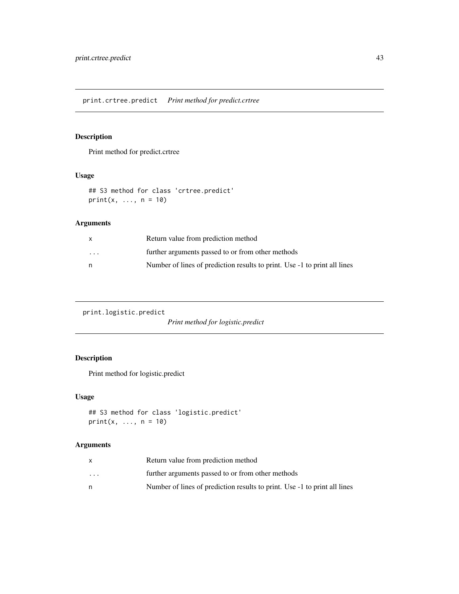Print method for predict.crtree

#### Usage

## S3 method for class 'crtree.predict'  $print(x, ..., n = 10)$ 

# Arguments

|                         | Return value from prediction method                                       |
|-------------------------|---------------------------------------------------------------------------|
| $\cdot$ $\cdot$ $\cdot$ | further arguments passed to or from other methods                         |
| n                       | Number of lines of prediction results to print. Use -1 to print all lines |

print.logistic.predict

*Print method for logistic.predict*

# Description

Print method for logistic.predict

#### Usage

```
## S3 method for class 'logistic.predict'
print(x, ..., n = 10)
```

|                         | Return value from prediction method                                       |
|-------------------------|---------------------------------------------------------------------------|
| $\cdot$ $\cdot$ $\cdot$ | further arguments passed to or from other methods                         |
| n                       | Number of lines of prediction results to print. Use -1 to print all lines |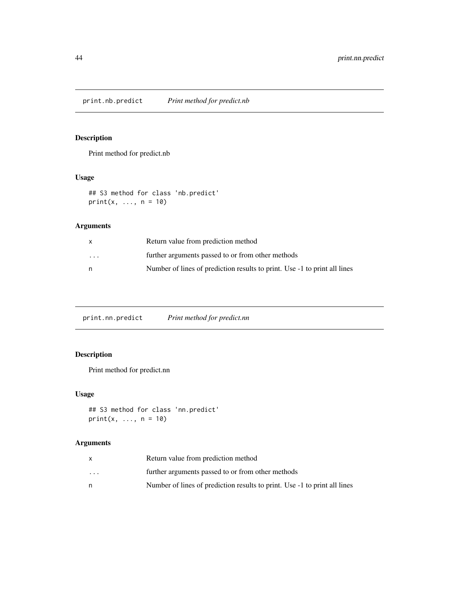print.nb.predict *Print method for predict.nb*

# Description

Print method for predict.nb

# Usage

## S3 method for class 'nb.predict'  $print(x, ..., n = 10)$ 

# Arguments

| X                       | Return value from prediction method                                       |
|-------------------------|---------------------------------------------------------------------------|
| $\cdot$ $\cdot$ $\cdot$ | further arguments passed to or from other methods                         |
| n                       | Number of lines of prediction results to print. Use -1 to print all lines |

print.nn.predict *Print method for predict.nn*

# Description

Print method for predict.nn

# Usage

```
## S3 method for class 'nn.predict'
print(x, ..., n = 10)
```

|                         | Return value from prediction method                                       |
|-------------------------|---------------------------------------------------------------------------|
| $\cdot$ $\cdot$ $\cdot$ | further arguments passed to or from other methods                         |
|                         | Number of lines of prediction results to print. Use -1 to print all lines |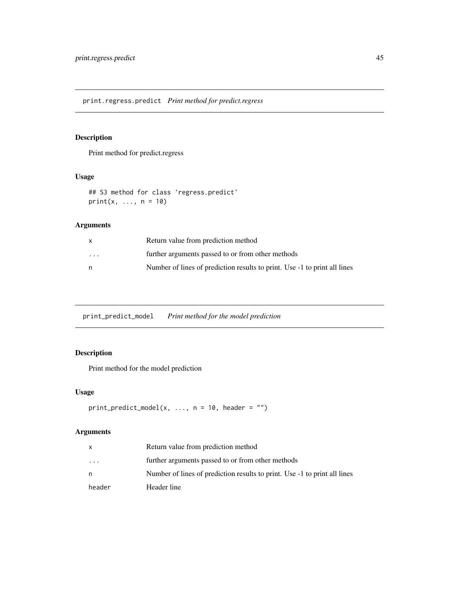print.regress.predict *Print method for predict.regress*

# Description

Print method for predict.regress

# Usage

## S3 method for class 'regress.predict'  $print(x, ..., n = 10)$ 

# Arguments

| X        | Return value from prediction method                                       |
|----------|---------------------------------------------------------------------------|
| $\cdots$ | further arguments passed to or from other methods                         |
| n        | Number of lines of prediction results to print. Use -1 to print all lines |

print\_predict\_model *Print method for the model prediction*

# Description

Print method for the model prediction

#### Usage

```
print\_predict\_model(x, ..., n = 10, header = "")
```

|           | Return value from prediction method                                       |
|-----------|---------------------------------------------------------------------------|
| $\ddotsc$ | further arguments passed to or from other methods                         |
| n         | Number of lines of prediction results to print. Use -1 to print all lines |
| header    | Header line                                                               |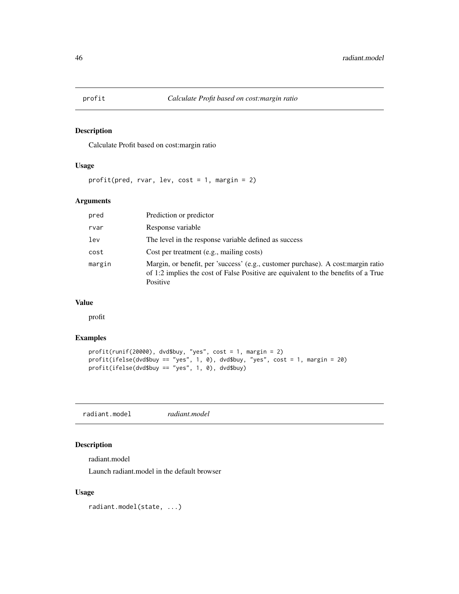Calculate Profit based on cost:margin ratio

# Usage

profit(pred, rvar, lev, cost = 1, margin = 2)

# Arguments

| pred   | Prediction or predictor                                                                                                                                                             |
|--------|-------------------------------------------------------------------------------------------------------------------------------------------------------------------------------------|
| rvar   | Response variable                                                                                                                                                                   |
| lev    | The level in the response variable defined as success                                                                                                                               |
| cost   | Cost per treatment (e.g., mailing costs)                                                                                                                                            |
| margin | Margin, or benefit, per 'success' (e.g., customer purchase). A cost: margin ratio<br>of 1:2 implies the cost of False Positive are equivalent to the benefits of a True<br>Positive |

#### Value

profit

# Examples

```
profit(runif(20000), dvd$buy, "yes", cost = 1, margin = 2)
profit(ifelse(dvd$buy == "yes", 1, 0), dvd$buy, "yes", cost = 1, margin = 20)
profit(ifelse(dvd$buy == "yes", 1, 0), dvd$buy)
```
radiant.model *radiant.model*

# Description

radiant.model

Launch radiant.model in the default browser

#### Usage

radiant.model(state, ...)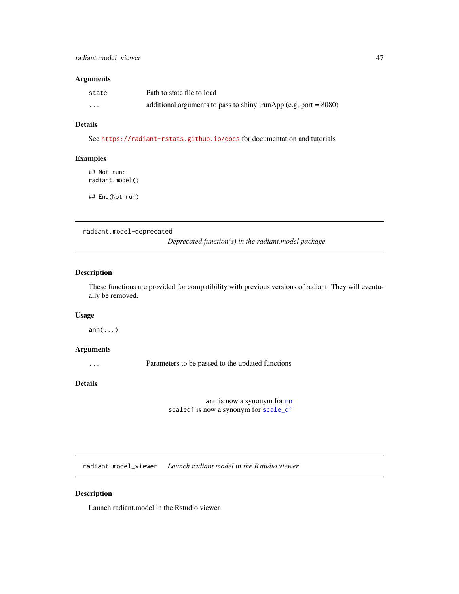#### Arguments

| state | Path to state file to load                                          |
|-------|---------------------------------------------------------------------|
| .     | additional arguments to pass to shiny::runApp (e.g, port = $8080$ ) |

#### Details

See <https://radiant-rstats.github.io/docs> for documentation and tutorials

#### Examples

## Not run: radiant.model()

## End(Not run)

radiant.model-deprecated

*Deprecated function(s) in the radiant.model package*

# Description

These functions are provided for compatibility with previous versions of radiant. They will eventually be removed.

#### Usage

ann(...)

#### Arguments

... Parameters to be passed to the updated functions

# Details

ann is now a synonym for [nn](#page-21-0) scaledf is now a synonym for [scale\\_df](#page-52-0)

radiant.model\_viewer *Launch radiant.model in the Rstudio viewer*

# Description

Launch radiant.model in the Rstudio viewer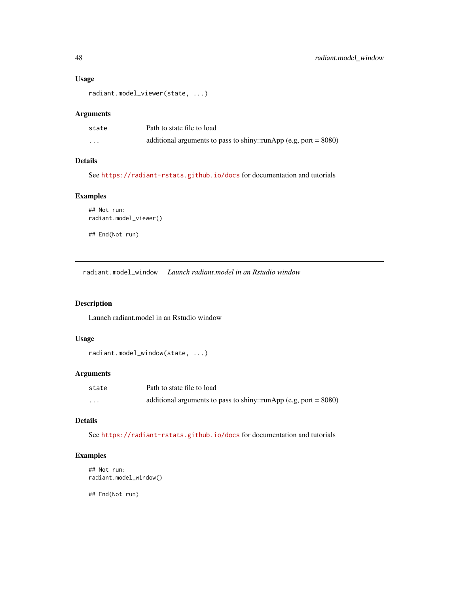#### Usage

```
radiant.model_viewer(state, ...)
```
# Arguments

| state    | Path to state file to load                                          |
|----------|---------------------------------------------------------------------|
| $\cdots$ | additional arguments to pass to shiny::runApp (e.g, port = $8080$ ) |

# Details

See <https://radiant-rstats.github.io/docs> for documentation and tutorials

#### Examples

```
## Not run:
radiant.model_viewer()
```
## End(Not run)

radiant.model\_window *Launch radiant.model in an Rstudio window*

# Description

Launch radiant.model in an Rstudio window

# Usage

```
radiant.model_window(state, ...)
```
#### Arguments

| state | Path to state file to load                                          |
|-------|---------------------------------------------------------------------|
| .     | additional arguments to pass to shiny::runApp (e.g, port = $8080$ ) |

# Details

See <https://radiant-rstats.github.io/docs> for documentation and tutorials

# Examples

```
## Not run:
radiant.model_window()
```
## End(Not run)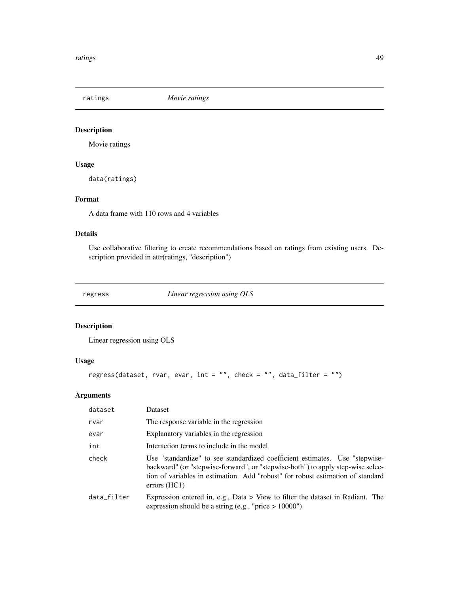ratings *Movie ratings*

# Description

Movie ratings

# Usage

data(ratings)

# Format

A data frame with 110 rows and 4 variables

#### Details

Use collaborative filtering to create recommendations based on ratings from existing users. Description provided in attr(ratings, "description")

<span id="page-48-0"></span>regress *Linear regression using OLS*

# Description

Linear regression using OLS

# Usage

```
regress(dataset, rvar, evar, int = "", check = "", data_filter = "")
```

| dataset     | Dataset                                                                                                                                                                                                                                                             |
|-------------|---------------------------------------------------------------------------------------------------------------------------------------------------------------------------------------------------------------------------------------------------------------------|
| rvar        | The response variable in the regression                                                                                                                                                                                                                             |
| evar        | Explanatory variables in the regression                                                                                                                                                                                                                             |
| int         | Interaction terms to include in the model                                                                                                                                                                                                                           |
| check       | Use "standardize" to see standardized coefficient estimates. Use "stepwise-<br>backward" (or "stepwise-forward", or "stepwise-both") to apply step-wise selec-<br>tion of variables in estimation. Add "robust" for robust estimation of standard<br>errors $(HC1)$ |
| data_filter | Expression entered in, e.g., Data $>$ View to filter the dataset in Radiant. The<br>expression should be a string (e.g., "price $> 10000$ ")                                                                                                                        |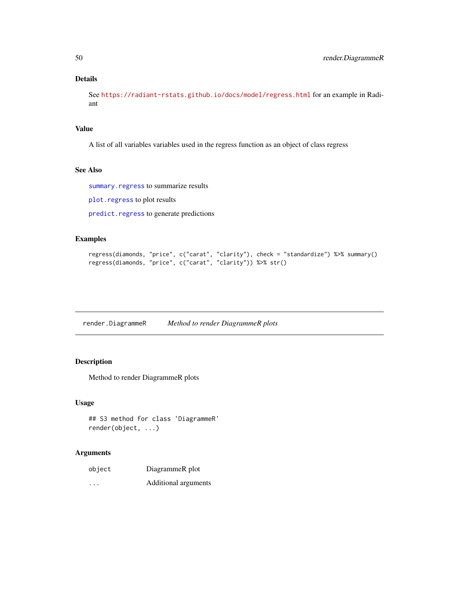# Details

See <https://radiant-rstats.github.io/docs/model/regress.html> for an example in Radiant

#### Value

A list of all variables variables used in the regress function as an object of class regress

# See Also

[summary.regress](#page-69-0) to summarize results

[plot.regress](#page-33-0) to plot results

[predict.regress](#page-40-0) to generate predictions

# Examples

```
regress(diamonds, "price", c("carat", "clarity"), check = "standardize") %>% summary()
regress(diamonds, "price", c("carat", "clarity")) %>% str()
```
render.DiagrammeR *Method to render DiagrammeR plots*

#### Description

Method to render DiagrammeR plots

#### Usage

## S3 method for class 'DiagrammeR' render(object, ...)

| object   | DiagrammeR plot      |
|----------|----------------------|
| $\cdots$ | Additional arguments |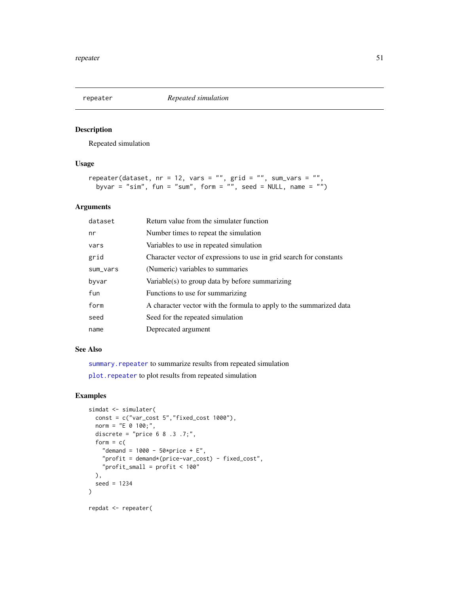<span id="page-50-0"></span>

Repeated simulation

#### Usage

```
repeater(dataset, nr = 12, vars = "", grid = "", sum_vars = "",
 byvar = "sim", fun = "sum", form = "", seed = NULL, name = "")
```
#### Arguments

| dataset  | Return value from the simulater function                            |
|----------|---------------------------------------------------------------------|
| nr       | Number times to repeat the simulation                               |
| vars     | Variables to use in repeated simulation                             |
| grid     | Character vector of expressions to use in grid search for constants |
| sum_vars | (Numeric) variables to summaries                                    |
| byvar    | Variable(s) to group data by before summarizing                     |
| fun      | Functions to use for summarizing                                    |
| form     | A character vector with the formula to apply to the summarized data |
| seed     | Seed for the repeated simulation                                    |
| name     | Deprecated argument                                                 |

#### See Also

summary. repeater to summarize results from repeated simulation [plot.repeater](#page-34-0) to plot results from repeated simulation

# Examples

```
simdat <- simulater(
 const = c("var-cost 5", "fixed-cost 1000"),norm = "E 0 100;",discrete = "price 6 8 .3 .7;",
 form = c("demand = 1000 - 50*price + E",
   "profit = demand*(price-var_cost) - fixed_cost",
    "profit\_small = profit < 100"),
 seed = 1234
)
repdat <- repeater(
```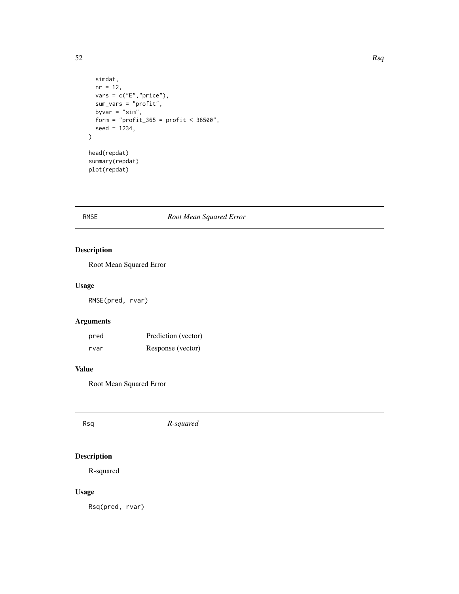```
simdat,
 nr = 12,
 vars = c("E", "price"),sum_vars = "profit",
 byvar = "sim",form = "profit_365 = profit < 36500",
  seed = 1234,
\mathcal{L}head(repdat)
summary(repdat)
plot(repdat)
```
# RMSE *Root Mean Squared Error*

# Description

Root Mean Squared Error

# Usage

RMSE(pred, rvar)

# Arguments

| pred | Prediction (vector) |
|------|---------------------|
| rvar | Response (vector)   |

# Value

Root Mean Squared Error

|  | R-squared | Rsq |
|--|-----------|-----|
|--|-----------|-----|

# Description

R-squared

# Usage

Rsq(pred, rvar)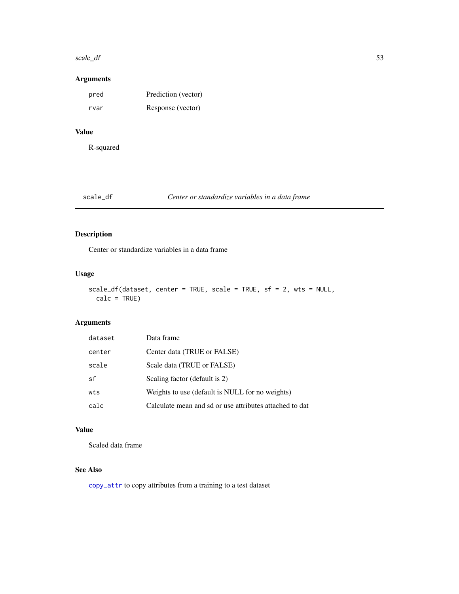#### scale\_df 53

# Arguments

| pred | Prediction (vector) |
|------|---------------------|
| rvar | Response (vector)   |

# Value

R-squared

# <span id="page-52-0"></span>scale\_df *Center or standardize variables in a data frame*

# Description

Center or standardize variables in a data frame

# Usage

```
scale_df(dataset, center = TRUE, scale = TRUE, sf = 2, wts = NULL,
 calc = TRUE)
```
# Arguments

| dataset | Data frame                                              |
|---------|---------------------------------------------------------|
| center  | Center data (TRUE or FALSE)                             |
| scale   | Scale data (TRUE or FALSE)                              |
| sf      | Scaling factor (default is 2)                           |
| wts     | Weights to use (default is NULL for no weights)         |
| calc    | Calculate mean and sd or use attributes attached to dat |

# Value

Scaled data frame

#### See Also

[copy\\_attr](#page-0-0) to copy attributes from a training to a test dataset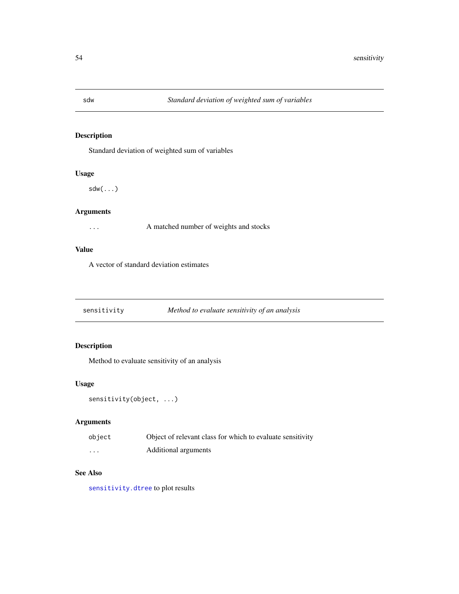Standard deviation of weighted sum of variables

# Usage

sdw(...)

#### Arguments

... A matched number of weights and stocks

# Value

A vector of standard deviation estimates

sensitivity *Method to evaluate sensitivity of an analysis*

# Description

Method to evaluate sensitivity of an analysis

#### Usage

```
sensitivity(object, ...)
```
# Arguments

| object                  | Object of relevant class for which to evaluate sensitivity |
|-------------------------|------------------------------------------------------------|
| $\cdot$ $\cdot$ $\cdot$ | Additional arguments                                       |

#### See Also

[sensitivity.dtree](#page-54-0) to plot results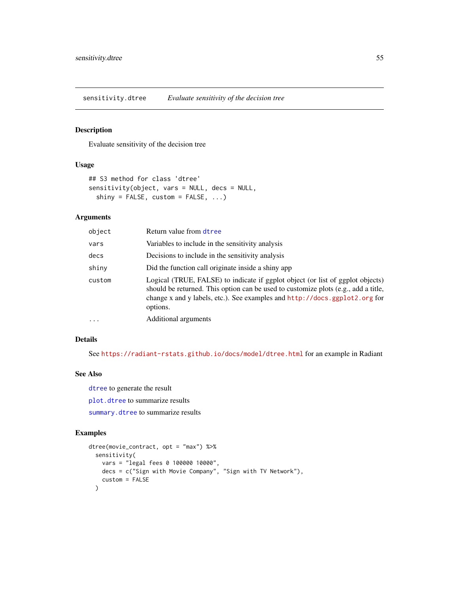<span id="page-54-0"></span>sensitivity.dtree *Evaluate sensitivity of the decision tree*

#### Description

Evaluate sensitivity of the decision tree

# Usage

```
## S3 method for class 'dtree'
sensitivity(object, vars = NULL, decs = NULL,
  shiny = FALSE, custom = FALSE, ...)
```
#### Arguments

| object    | Return value from dtree                                                                                                                                                                                                                                        |
|-----------|----------------------------------------------------------------------------------------------------------------------------------------------------------------------------------------------------------------------------------------------------------------|
| vars      | Variables to include in the sensitivity analysis                                                                                                                                                                                                               |
| decs      | Decisions to include in the sensitivity analysis                                                                                                                                                                                                               |
| shiny     | Did the function call originate inside a shiny app                                                                                                                                                                                                             |
| custom    | Logical (TRUE, FALSE) to indicate if ggplot object (or list of ggplot objects)<br>should be returned. This option can be used to customize plots (e.g., add a title,<br>change x and y labels, etc.). See examples and http://docs.ggplot2.org for<br>options. |
| $\ddotsc$ | Additional arguments                                                                                                                                                                                                                                           |

# Details

See <https://radiant-rstats.github.io/docs/model/dtree.html> for an example in Radiant

#### See Also

[dtree](#page-11-0) to generate the result [plot.dtree](#page-25-0) to summarize results [summary.dtree](#page-64-0) to summarize results

# Examples

```
dtree(movie_contract, opt = "max") %>%
 sensitivity(
   vars = "legal fees 0 100000 10000",
   decs = c("Sign with Movie Company", "Sign with TV Network"),
   custom = FALSE
 )
```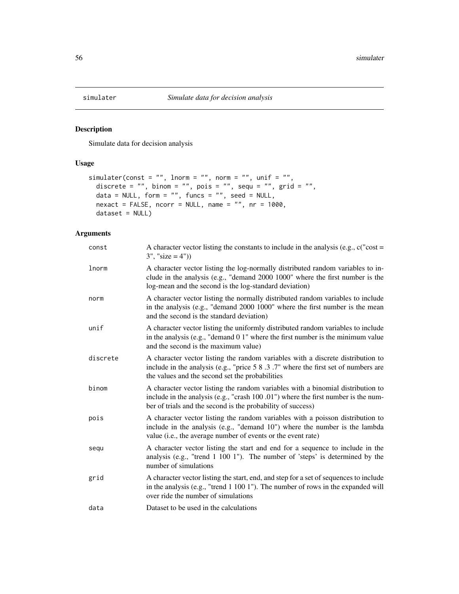<span id="page-55-0"></span>

Simulate data for decision analysis

# Usage

```
simulater(const = ", lnorm = ", norm = ", unif = ",
 discrete = ", binom = ", pois = ", sequ = ", grid = ",
 data = NULL, form = "", funcs = "", seed = NULL,
 next = FALSE, norm = NULL, name = "", nr = 1000,dataset = NULL)
```

| const    | A character vector listing the constants to include in the analysis (e.g., $c("cost =$<br>$3''$ , "size = 4"))                                                                                                                         |
|----------|----------------------------------------------------------------------------------------------------------------------------------------------------------------------------------------------------------------------------------------|
| lnorm    | A character vector listing the log-normally distributed random variables to in-<br>clude in the analysis (e.g., "demand 2000 1000" where the first number is the<br>log-mean and the second is the log-standard deviation)             |
| norm     | A character vector listing the normally distributed random variables to include<br>in the analysis (e.g., "demand 2000 1000" where the first number is the mean<br>and the second is the standard deviation)                           |
| unif     | A character vector listing the uniformly distributed random variables to include<br>in the analysis (e.g., "demand 0 1" where the first number is the minimum value<br>and the second is the maximum value)                            |
| discrete | A character vector listing the random variables with a discrete distribution to<br>include in the analysis (e.g., "price 5 8 .3 .7" where the first set of numbers are<br>the values and the second set the probabilities              |
| binom    | A character vector listing the random variables with a binomial distribution to<br>include in the analysis (e.g., "crash $100.01$ ") where the first number is the num-<br>ber of trials and the second is the probability of success) |
| pois     | A character vector listing the random variables with a poisson distribution to<br>include in the analysis (e.g., "demand 10") where the number is the lambda<br>value (i.e., the average number of events or the event rate)           |
| sequ     | A character vector listing the start and end for a sequence to include in the<br>analysis (e.g., "trend 1 100 1"). The number of 'steps' is determined by the<br>number of simulations                                                 |
| grid     | A character vector listing the start, end, and step for a set of sequences to include<br>in the analysis (e.g., "trend 1 100 1"). The number of rows in the expanded will<br>over ride the number of simulations                       |
| data     | Dataset to be used in the calculations                                                                                                                                                                                                 |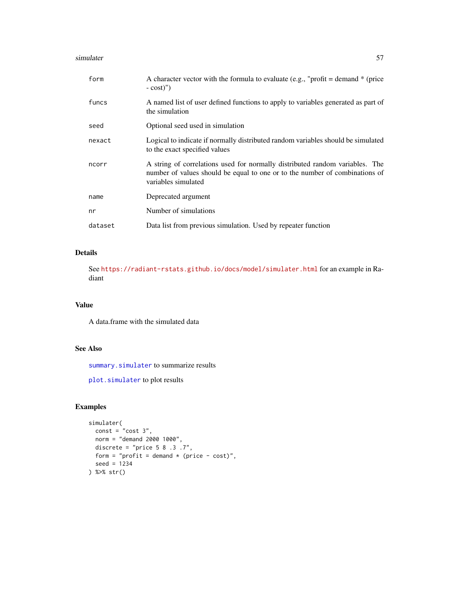#### simulater 57

| form    | A character vector with the formula to evaluate (e.g., "profit = demand $*$ (price<br>$-cost)$ ")                                                                                  |
|---------|------------------------------------------------------------------------------------------------------------------------------------------------------------------------------------|
| funcs   | A named list of user defined functions to apply to variables generated as part of<br>the simulation                                                                                |
| seed    | Optional seed used in simulation                                                                                                                                                   |
| nexact  | Logical to indicate if normally distributed random variables should be simulated<br>to the exact specified values                                                                  |
| ncorr   | A string of correlations used for normally distributed random variables. The<br>number of values should be equal to one or to the number of combinations of<br>variables simulated |
| name    | Deprecated argument                                                                                                                                                                |
| nr      | Number of simulations                                                                                                                                                              |
| dataset | Data list from previous simulation. Used by repeater function                                                                                                                      |

# Details

See <https://radiant-rstats.github.io/docs/model/simulater.html> for an example in Radiant

# Value

A data.frame with the simulated data

# See Also

[summary.simulater](#page-71-0) to summarize results

[plot.simulater](#page-35-0) to plot results

# Examples

```
simulater(
  const = "cost 3",norm = "demand 2000 1000",
  discrete = "price 5 8 .3 .7",
  form = "profit = demand * (price - cost)",
  seed = 1234
) %>% str()
```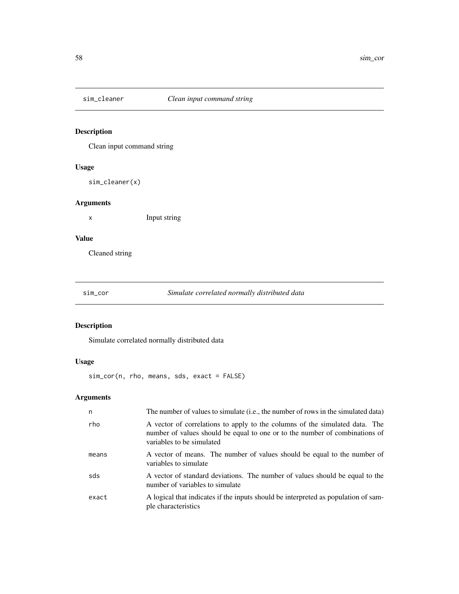Clean input command string

#### Usage

sim\_cleaner(x)

# Arguments

x Input string

# Value

Cleaned string

sim\_cor *Simulate correlated normally distributed data*

# Description

Simulate correlated normally distributed data

# Usage

sim\_cor(n, rho, means, sds, exact = FALSE)

| n     | The number of values to simulate (i.e., the number of rows in the simulated data)                                                                                                       |
|-------|-----------------------------------------------------------------------------------------------------------------------------------------------------------------------------------------|
| rho   | A vector of correlations to apply to the columns of the simulated data. The<br>number of values should be equal to one or to the number of combinations of<br>variables to be simulated |
| means | A vector of means. The number of values should be equal to the number of<br>variables to simulate                                                                                       |
| sds   | A vector of standard deviations. The number of values should be equal to the<br>number of variables to simulate                                                                         |
| exact | A logical that indicates if the inputs should be interpreted as population of sam-<br>ple characteristics                                                                               |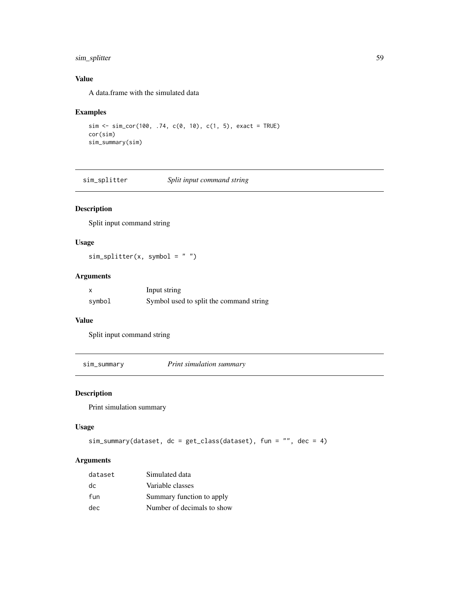# sim\_splitter 59

# Value

A data.frame with the simulated data

#### Examples

```
sim <- sim_cor(100, .74, c(0, 10), c(1, 5), exact = TRUE)
cor(sim)
sim_summary(sim)
```
sim\_splitter *Split input command string*

# Description

Split input command string

#### Usage

 $sim\_splitter(x, symbol = "")$ 

# Arguments

| $\boldsymbol{\mathsf{x}}$ | Input string                            |
|---------------------------|-----------------------------------------|
| symbol                    | Symbol used to split the command string |

#### Value

Split input command string

sim\_summary *Print simulation summary*

# Description

Print simulation summary

#### Usage

```
sim\_summary(dataset, dc = get_class(dataset), fun = "", dec = 4)
```

| dataset | Simulated data             |
|---------|----------------------------|
| dc      | Variable classes           |
| fun     | Summary function to apply  |
| dec     | Number of decimals to show |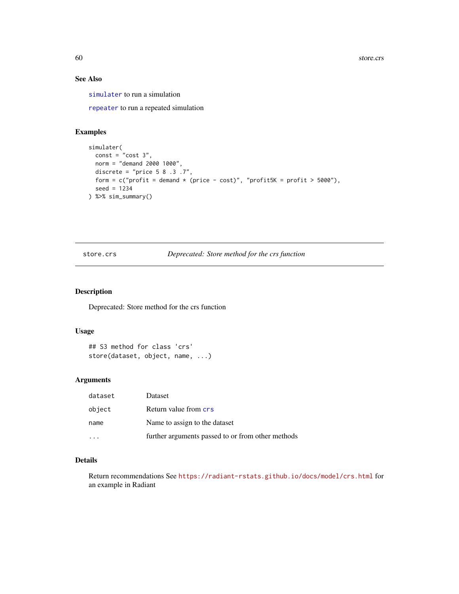# See Also

[simulater](#page-55-0) to run a simulation

[repeater](#page-50-0) to run a repeated simulation

# Examples

```
simulater(
 const = "cost 3",norm = "demand 2000 1000",
 discrete = "price 5 8 .3 .7",form = c("profit = demand * (price - cost)", "profit5K = profit > 5000"),seed = 1234
) %>% sim_summary()
```
store.crs *Deprecated: Store method for the crs function*

#### Description

Deprecated: Store method for the crs function

#### Usage

```
## S3 method for class 'crs'
store(dataset, object, name, ...)
```
#### Arguments

| dataset | Dataset                                           |
|---------|---------------------------------------------------|
| object  | Return value from crs                             |
| name    | Name to assign to the dataset                     |
|         | further arguments passed to or from other methods |

# Details

Return recommendations See <https://radiant-rstats.github.io/docs/model/crs.html> for an example in Radiant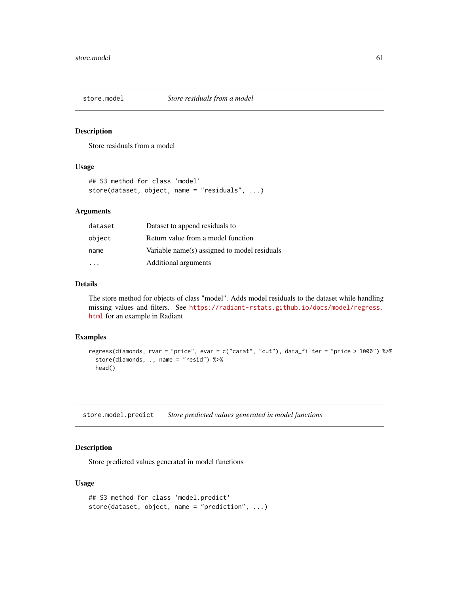Store residuals from a model

#### Usage

```
## S3 method for class 'model'
store(dataset, object, name = "residuals", ...)
```
#### Arguments

| dataset | Dataset to append residuals to               |
|---------|----------------------------------------------|
| object  | Return value from a model function           |
| name    | Variable name(s) assigned to model residuals |
|         | Additional arguments                         |

#### Details

The store method for objects of class "model". Adds model residuals to the dataset while handling missing values and filters. See [https://radiant-rstats.github.io/docs/model/regress.](https://radiant-rstats.github.io/docs/model/regress.html) [html](https://radiant-rstats.github.io/docs/model/regress.html) for an example in Radiant

## Examples

```
regress(diamonds, rvar = "price", evar = c("carat", "cut"), data_filter = "price > 1000") %>%
 store(diamonds, ., name = "resid") %>%
 head()
```
store.model.predict *Store predicted values generated in model functions*

#### Description

Store predicted values generated in model functions

# Usage

```
## S3 method for class 'model.predict'
store(dataset, object, name = "prediction", ...)
```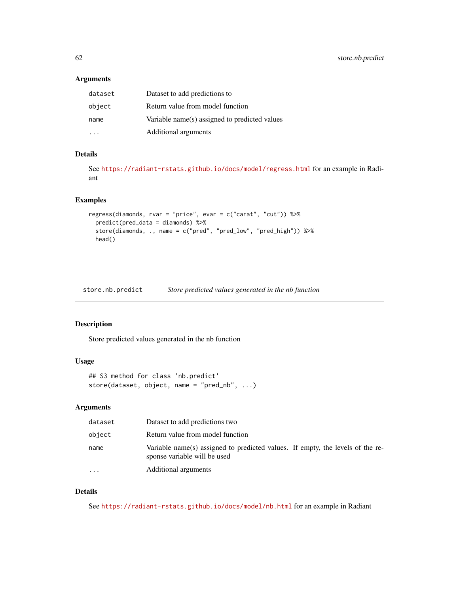#### Arguments

| dataset | Dataset to add predictions to                 |
|---------|-----------------------------------------------|
| object  | Return value from model function              |
| name    | Variable name(s) assigned to predicted values |
|         | Additional arguments                          |

#### Details

See <https://radiant-rstats.github.io/docs/model/regress.html> for an example in Radiant

#### Examples

```
regress(diamonds, rvar = "price", evar = c("carat", "cut")) %>%
  predict(pred_data = diamonds) %>%
  store(diamonds, ., name = c("pred", "pred_low", "pred_high")) %>%
  head()
```
store.nb.predict *Store predicted values generated in the nb function*

#### Description

Store predicted values generated in the nb function

#### Usage

```
## S3 method for class 'nb.predict'
store(dataset, object, name = "pred_nb", ...)
```
# Arguments

| dataset   | Dataset to add predictions two                                                                                 |
|-----------|----------------------------------------------------------------------------------------------------------------|
| object    | Return value from model function                                                                               |
| name      | Variable name(s) assigned to predicted values. If empty, the levels of the re-<br>sponse variable will be used |
| $\ddotsc$ | Additional arguments                                                                                           |

# Details

See <https://radiant-rstats.github.io/docs/model/nb.html> for an example in Radiant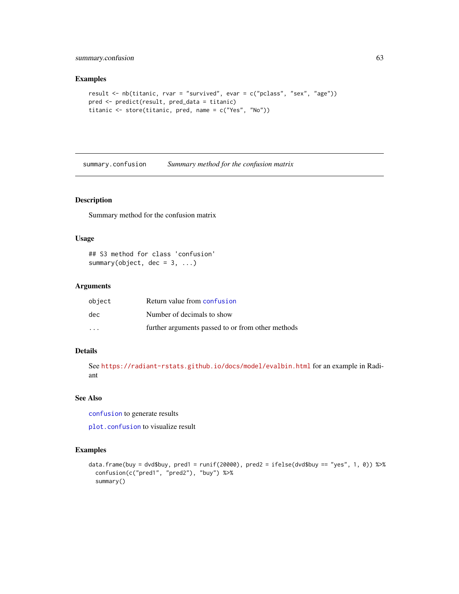# summary.confusion 63

# Examples

```
result <- nb(titanic, rvar = "survived", evar = c("pclass", "sex", "age"))
pred <- predict(result, pred_data = titanic)
titanic <- store(titanic, pred, name = c("Yes", "No"))
```
summary.confusion *Summary method for the confusion matrix*

#### Description

Summary method for the confusion matrix

#### Usage

```
## S3 method for class 'confusion'
summary(object, dec = 3, ...)
```
#### Arguments

| object                  | Return value from confusion                       |
|-------------------------|---------------------------------------------------|
| dec.                    | Number of decimals to show                        |
| $\cdot$ $\cdot$ $\cdot$ | further arguments passed to or from other methods |

# Details

See <https://radiant-rstats.github.io/docs/model/evalbin.html> for an example in Radiant

#### See Also

[confusion](#page-5-0) to generate results

[plot.confusion](#page-22-0) to visualize result

## Examples

```
data.frame(buy = dvd$buy, pred1 = runif(20000), pred2 = ifelse(dvd$buy == "yes", 1, 0)) %>%
  confusion(c("pred1", "pred2"), "buy") %>%
  summary()
```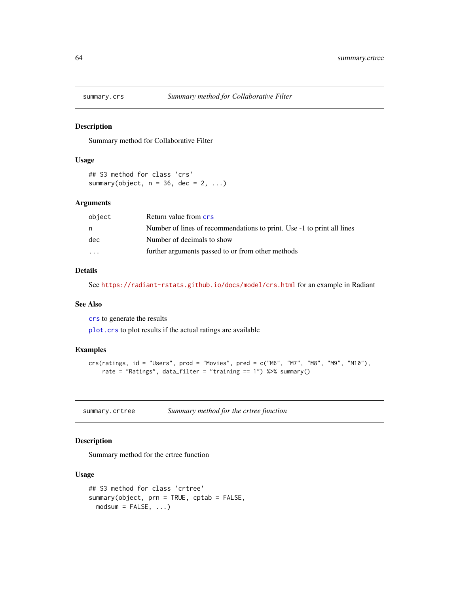Summary method for Collaborative Filter

#### Usage

```
## S3 method for class 'crs'
summary(object, n = 36, dec = 2, ...)
```
## Arguments

| object                  | Return value from crs                                                  |
|-------------------------|------------------------------------------------------------------------|
| n.                      | Number of lines of recommendations to print. Use -1 to print all lines |
| dec                     | Number of decimals to show                                             |
| $\cdot$ $\cdot$ $\cdot$ | further arguments passed to or from other methods                      |

#### Details

See <https://radiant-rstats.github.io/docs/model/crs.html> for an example in Radiant

#### See Also

[crs](#page-6-0) to generate the results

[plot.crs](#page-23-0) to plot results if the actual ratings are available

#### Examples

```
crs(ratings, id = "Users", prod = "Movies", pred = c("M6", "M7", "M8", "M9", "M10"),
   rate = "Ratings", data_filter = "training == 1") %>% summary()
```
<span id="page-63-0"></span>summary.crtree *Summary method for the crtree function*

#### Description

Summary method for the crtree function

#### Usage

```
## S3 method for class 'crtree'
summary(object, prn = TRUE, cptab = FALSE,
 modsum = FALSE, ...)
```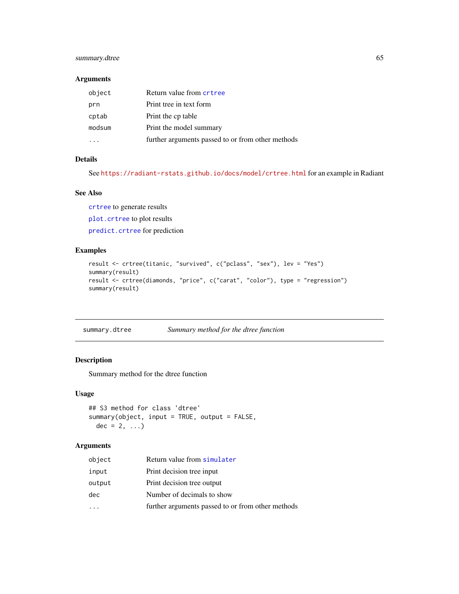# summary.dtree 65

#### Arguments

| object | Return value from crtree                          |
|--------|---------------------------------------------------|
| prn    | Print tree in text form                           |
| cptab  | Print the cp table                                |
| modsum | Print the model summary                           |
|        | further arguments passed to or from other methods |

#### Details

See <https://radiant-rstats.github.io/docs/model/crtree.html> for an example in Radiant

#### See Also

[crtree](#page-7-0) to generate results [plot.crtree](#page-23-1) to plot results [predict.crtree](#page-36-0) for prediction

# Examples

```
result <- crtree(titanic, "survived", c("pclass", "sex"), lev = "Yes")
summary(result)
result <- crtree(diamonds, "price", c("carat", "color"), type = "regression")
summary(result)
```
<span id="page-64-0"></span>summary.dtree *Summary method for the dtree function*

#### Description

Summary method for the dtree function

#### Usage

```
## S3 method for class 'dtree'
summary(object, input = TRUE, output = FALSE,
 dec = 2, ...
```

| Return value from simulater                       |
|---------------------------------------------------|
| Print decision tree input                         |
| Print decision tree output                        |
| Number of decimals to show                        |
| further arguments passed to or from other methods |
|                                                   |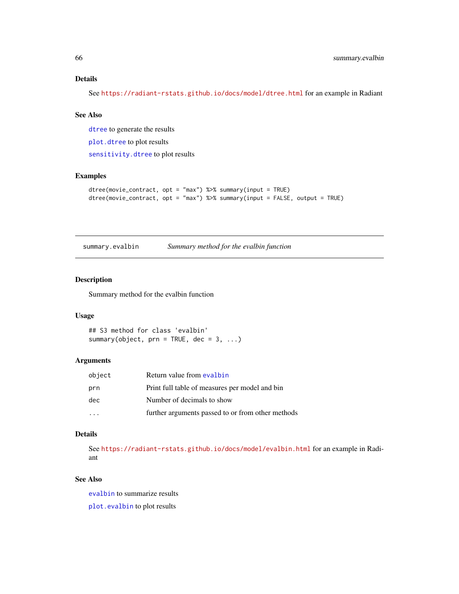# Details

See <https://radiant-rstats.github.io/docs/model/dtree.html> for an example in Radiant

#### See Also

[dtree](#page-11-0) to generate the results

[plot.dtree](#page-25-0) to plot results

[sensitivity.dtree](#page-54-0) to plot results

#### Examples

```
dtree(movie_contract, opt = "max") %>% summary(input = TRUE)
dtree(movie_contract, opt = "max") %>% summary(input = FALSE, output = TRUE)
```
summary.evalbin *Summary method for the evalbin function*

# Description

Summary method for the evalbin function

#### Usage

```
## S3 method for class 'evalbin'
summary(object, prn = TRUE, dec = 3, ...)
```
#### Arguments

| object | Return value from evalbin                         |
|--------|---------------------------------------------------|
| prn    | Print full table of measures per model and bin    |
| dec    | Number of decimals to show                        |
|        | further arguments passed to or from other methods |

#### Details

See <https://radiant-rstats.github.io/docs/model/evalbin.html> for an example in Radiant

#### See Also

[evalbin](#page-13-0) to summarize results [plot.evalbin](#page-26-0) to plot results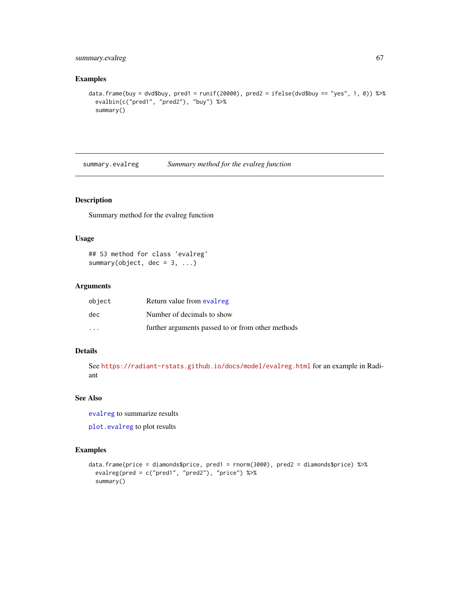# summary.evalreg 67

#### Examples

```
data.frame(buy = dvd$buy, pred1 = runif(20000), pred2 = ifelse(dvd$buy == "yes", 1, 0)) %>%
  evalbin(c("pred1", "pred2"), "buy") %>%
  summary()
```
summary.evalreg *Summary method for the evalreg function*

#### Description

Summary method for the evalreg function

#### Usage

```
## S3 method for class 'evalreg'
summary(object, dec = 3, ...)
```
#### Arguments

| object                  | Return value from evalreg                         |
|-------------------------|---------------------------------------------------|
| dec                     | Number of decimals to show                        |
| $\cdot$ $\cdot$ $\cdot$ | further arguments passed to or from other methods |

# Details

See <https://radiant-rstats.github.io/docs/model/evalreg.html> for an example in Radiant

#### See Also

[evalreg](#page-14-0) to summarize results

[plot.evalreg](#page-27-1) to plot results

## Examples

```
data.frame(price = diamonds$price, pred1 = rnorm(3000), pred2 = diamonds$price) %>%
  evalreg(pred = c("pred1", "pred2"), "price") %>%
  summary()
```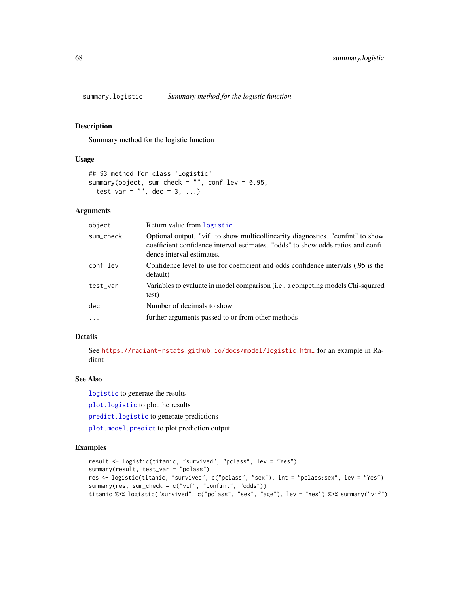<span id="page-67-0"></span>

Summary method for the logistic function

#### Usage

```
## S3 method for class 'logistic'
summary(object, sum_check = "", conf_lev = 0.95,
 test\_var = "", dec = 3, ...)
```
# Arguments

| object    | Return value from logistic                                                                                                                                                                       |
|-----------|--------------------------------------------------------------------------------------------------------------------------------------------------------------------------------------------------|
| sum_check | Optional output. "vif" to show multicollinearity diagnostics. "confint" to show<br>coefficient confidence interval estimates. "odds" to show odds ratios and confi-<br>dence interval estimates. |
| conf_lev  | Confidence level to use for coefficient and odds confidence intervals (.95 is the<br>default)                                                                                                    |
| test_var  | Variables to evaluate in model comparison (i.e., a competing models Chi-squared<br>test)                                                                                                         |
| dec       | Number of decimals to show                                                                                                                                                                       |
| $\ddots$  | further arguments passed to or from other methods                                                                                                                                                |

#### Details

See <https://radiant-rstats.github.io/docs/model/logistic.html> for an example in Radiant

# See Also

[logistic](#page-17-0) to generate the results

[plot.logistic](#page-27-0) to plot the results

[predict.logistic](#page-37-0) to generate predictions

[plot.model.predict](#page-29-0) to plot prediction output

#### Examples

```
result <- logistic(titanic, "survived", "pclass", lev = "Yes")
summary(result, test_var = "pclass")
res <- logistic(titanic, "survived", c("pclass", "sex"), int = "pclass:sex", lev = "Yes")
summary(res, sum_check = c("vif", "confint", "odds"))
titanic %>% logistic("survived", c("pclass", "sex", "age"), lev = "Yes") %>% summary("vif")
```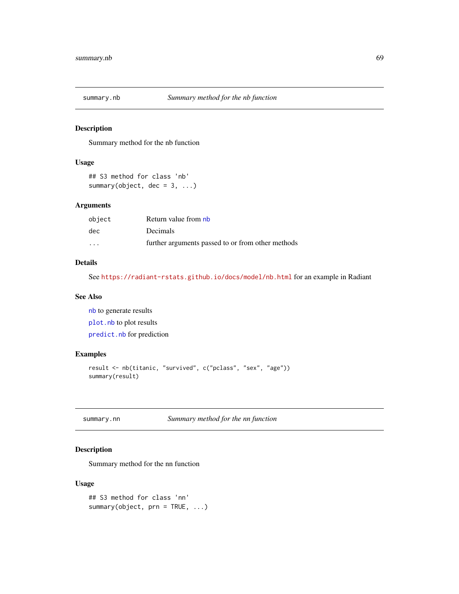<span id="page-68-0"></span>

Summary method for the nb function

#### Usage

```
## S3 method for class 'nb'
summary(object, dec = 3, ...)
```
#### Arguments

| object | Return value from nb                              |
|--------|---------------------------------------------------|
| dec    | <b>Decimals</b>                                   |
| .      | further arguments passed to or from other methods |

# Details

See <https://radiant-rstats.github.io/docs/model/nb.html> for an example in Radiant

#### See Also

[nb](#page-20-0) to generate results [plot.nb](#page-30-0) to plot results [predict.nb](#page-38-0) for prediction

#### Examples

```
result <- nb(titanic, "survived", c("pclass", "sex", "age"))
summary(result)
```
<span id="page-68-1"></span>summary.nn *Summary method for the nn function*

# Description

Summary method for the nn function

#### Usage

```
## S3 method for class 'nn'
summary(object, prn = TRUE, ...)
```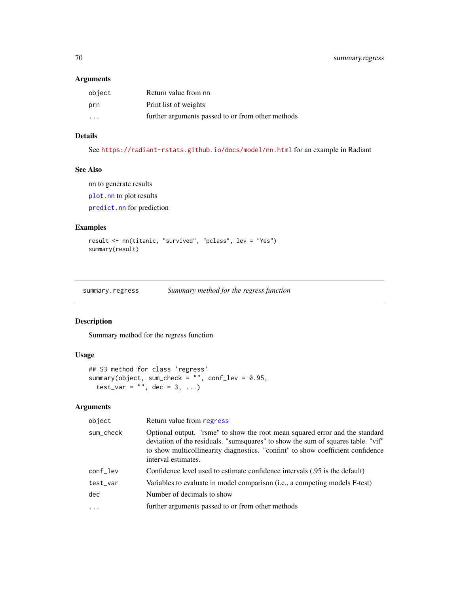#### Arguments

| object                  | Return value from nn                              |
|-------------------------|---------------------------------------------------|
| prn                     | Print list of weights                             |
| $\cdot$ $\cdot$ $\cdot$ | further arguments passed to or from other methods |

# Details

See <https://radiant-rstats.github.io/docs/model/nn.html> for an example in Radiant

# See Also

[nn](#page-21-0) to generate results [plot.nn](#page-32-0) to plot results [predict.nn](#page-39-0) for prediction

# Examples

```
result <- nn(titanic, "survived", "pclass", lev = "Yes")
summary(result)
```
<span id="page-69-0"></span>summary.regress *Summary method for the regress function*

# Description

Summary method for the regress function

# Usage

```
## S3 method for class 'regress'
summary(object, sum_check = "", conf_lev = 0.95,
 test\_var = "", dec = 3, ...)
```

| object    | Return value from regress                                                                                                                                                                                                                                                  |
|-----------|----------------------------------------------------------------------------------------------------------------------------------------------------------------------------------------------------------------------------------------------------------------------------|
| sum_check | Optional output. "rsme" to show the root mean squared error and the standard<br>deviation of the residuals. "sumsquares" to show the sum of squares table. "vif"<br>to show multicollinearity diagnostics. "confint" to show coefficient confidence<br>interval estimates. |
| conf_lev  | Confidence level used to estimate confidence intervals (.95 is the default)                                                                                                                                                                                                |
| test_var  | Variables to evaluate in model comparison (i.e., a competing models F-test)                                                                                                                                                                                                |
| dec       | Number of decimals to show                                                                                                                                                                                                                                                 |
| $\cdots$  | further arguments passed to or from other methods                                                                                                                                                                                                                          |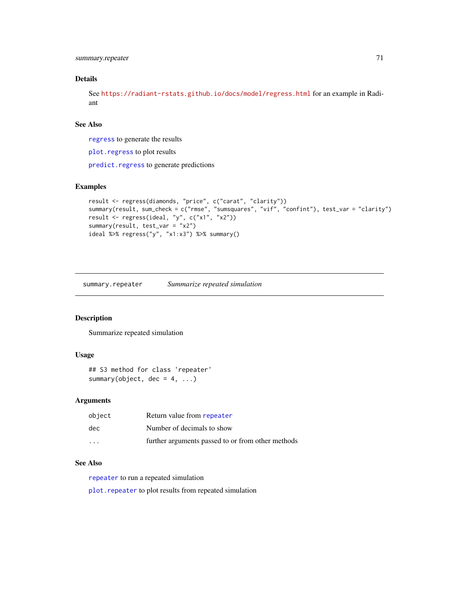```
summary.repeater 71
```
#### Details

See <https://radiant-rstats.github.io/docs/model/regress.html> for an example in Radiant

#### See Also

[regress](#page-48-0) to generate the results

[plot.regress](#page-33-0) to plot results

[predict.regress](#page-40-0) to generate predictions

# Examples

```
result <- regress(diamonds, "price", c("carat", "clarity"))
summary(result, sum_check = c("rmse", "sumsquares", "vif", "confint"), test_var = "clarity")
result <- regress(ideal, "y", c("x1", "x2"))
summary(result, test_var = "x2")
ideal %>% regress("y", "x1:x3") %>% summary()
```
<span id="page-70-0"></span>summary.repeater *Summarize repeated simulation*

## Description

Summarize repeated simulation

#### Usage

```
## S3 method for class 'repeater'
summary(object, dec = 4, ...)
```
#### Arguments

| object  | Return value from repeater                        |
|---------|---------------------------------------------------|
| dec     | Number of decimals to show                        |
| $\cdot$ | further arguments passed to or from other methods |

# See Also

[repeater](#page-50-0) to run a repeated simulation

[plot.repeater](#page-34-0) to plot results from repeated simulation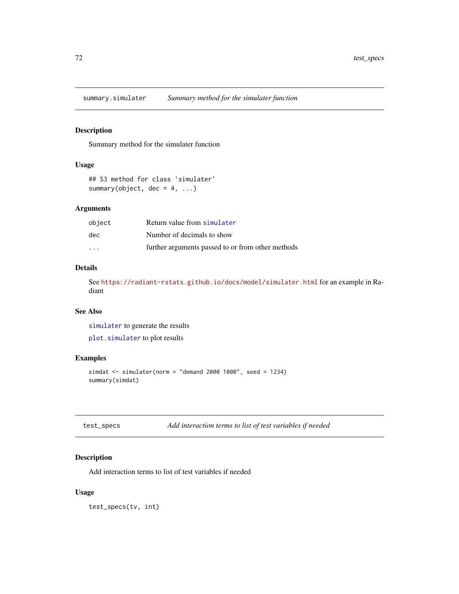<span id="page-71-0"></span>summary.simulater *Summary method for the simulater function*

# Description

Summary method for the simulater function

# Usage

```
## S3 method for class 'simulater'
summary(object, dec = 4, ...)
```
# Arguments

| object   | Return value from simulater                       |
|----------|---------------------------------------------------|
| dec.     | Number of decimals to show                        |
| $\cdots$ | further arguments passed to or from other methods |

#### Details

See <https://radiant-rstats.github.io/docs/model/simulater.html> for an example in Radiant

#### See Also

[simulater](#page-55-0) to generate the results

[plot.simulater](#page-35-0) to plot results

#### Examples

```
simdat <- simulater(norm = "demand 2000 1000", seed = 1234)
summary(simdat)
```

```
test_specs Add interaction terms to list of test variables if needed
```
# Description

Add interaction terms to list of test variables if needed

#### Usage

test\_specs(tv, int)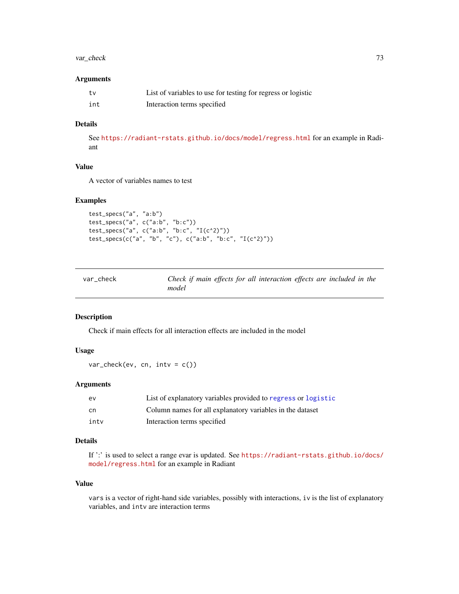# <span id="page-72-0"></span>var\_check 73

# Arguments

| t v | List of variables to use for testing for regress or logistic |
|-----|--------------------------------------------------------------|
| int | Interaction terms specified                                  |

# Details

See <https://radiant-rstats.github.io/docs/model/regress.html> for an example in Radiant

# Value

A vector of variables names to test

## Examples

```
test_specs("a", "a:b")
test_specs("a", c("a:b", "b:c"))
test_specs("a", c("a:b", "b:c", "I(c^2)"))
test_specs(c("a", "b", "c"), c("a:b", "b:c", "I(c^2)"))
```

| var_check | Check if main effects for all interaction effects are included in the |  |  |  |  |
|-----------|-----------------------------------------------------------------------|--|--|--|--|
|           | model                                                                 |  |  |  |  |
|           |                                                                       |  |  |  |  |

# Description

Check if main effects for all interaction effects are included in the model

# Usage

 $var_{\text{check}}(ev, cn, intv = c())$ 

# Arguments

| ev   | List of explanatory variables provided to regress or logistic |
|------|---------------------------------------------------------------|
| cn   | Column names for all explanatory variables in the dataset     |
| inty | Interaction terms specified                                   |

# Details

If ':' is used to select a range evar is updated. See [https://radiant-rstats.github.io/docs/](https://radiant-rstats.github.io/docs/model/regress.html) [model/regress.html](https://radiant-rstats.github.io/docs/model/regress.html) for an example in Radiant

#### Value

vars is a vector of right-hand side variables, possibly with interactions, iv is the list of explanatory variables, and intv are interaction terms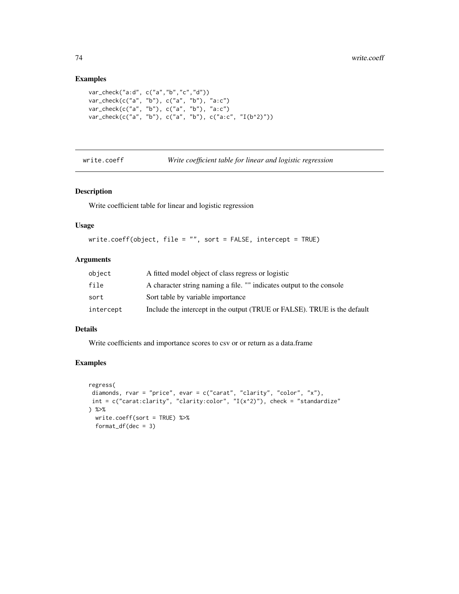# Examples

```
var_check("a:d", c("a","b","c","d"))
var_check(c("a", "b"), c("a", "b"), "a:c")
var_check(c("a", "b"), c("a", "b"), "a:c")
var_check(c("a", "b"), c("a", "b"), c("a:c", "I(b^2)"))
```
write.coeff *Write coefficient table for linear and logistic regression*

#### Description

Write coefficient table for linear and logistic regression

#### Usage

```
write.coeff(object, file = "", sort = FALSE, intercept = TRUE)
```
# Arguments

| object    | A fitted model object of class regress or logistic                       |
|-----------|--------------------------------------------------------------------------|
| file      | A character string naming a file. "" indicates output to the console     |
| sort      | Sort table by variable importance                                        |
| intercept | Include the intercept in the output (TRUE or FALSE). TRUE is the default |

### Details

Write coefficients and importance scores to csv or or return as a data.frame

# Examples

```
regress(
diamonds, rvar = "price", evar = c("carat", "clarity", "color", "x"),
 int = c("carat:clarity", "clarity:color", "I(x<sup>2</sup>)), check = "standardize"
) %>%
  write.coeff(sort = TRUE) %>%
  format_df(dec = 3)
```
<span id="page-73-0"></span>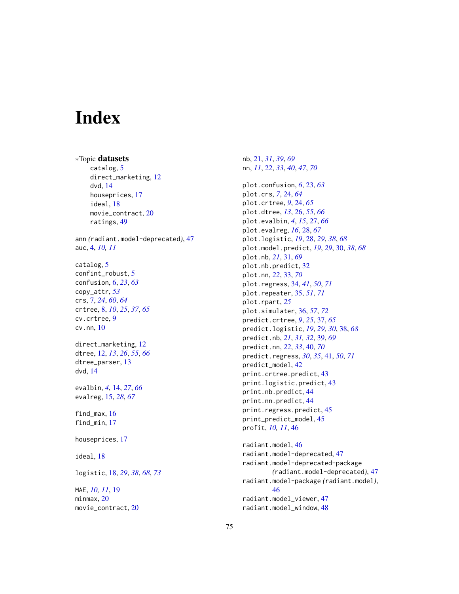# **Index**

∗Topic datasets catalog, [5](#page-4-0) direct\_marketing, [12](#page-11-0) dvd, [14](#page-13-0) houseprices, [17](#page-16-0) ideal, [18](#page-17-1) movie\_contract, [20](#page-19-0) ratings, [49](#page-48-1) ann *(*radiant.model-deprecated*)*, [47](#page-46-0) auc, [4,](#page-3-0) *[10,](#page-9-0) [11](#page-10-0)* catalog, [5](#page-4-0) confint\_robust, [5](#page-4-0) confusion, [6,](#page-5-0) *[23](#page-22-0)*, *[63](#page-62-0)* copy\_attr, *[53](#page-52-0)* crs, [7,](#page-6-0) *[24](#page-23-0)*, *[60](#page-59-0)*, *[64](#page-63-0)* crtree, [8,](#page-7-0) *[10](#page-9-0)*, *[25](#page-24-0)*, *[37](#page-36-0)*, *[65](#page-64-0)* cv.crtree, [9](#page-8-0) cv.nn, [10](#page-9-0) direct\_marketing, [12](#page-11-0) dtree, [12,](#page-11-0) *[13](#page-12-0)*, *[26](#page-25-0)*, *[55](#page-54-0)*, *[66](#page-65-0)* dtree\_parser, [13](#page-12-0) dvd, [14](#page-13-0) evalbin, *[4](#page-3-0)*, [14,](#page-13-0) *[27](#page-26-0)*, *[66](#page-65-0)* evalreg, [15,](#page-14-0) *[28](#page-27-0)*, *[67](#page-66-0)* find max. [16](#page-15-0) find\_min, [17](#page-16-0) houseprices, [17](#page-16-0) ideal, [18](#page-17-1) logistic, [18,](#page-17-1) *[29](#page-28-0)*, *[38](#page-37-0)*, *[68](#page-67-0)*, *[73](#page-72-0)* MAE, *[10,](#page-9-0) [11](#page-10-0)*, [19](#page-18-0) minmax, [20](#page-19-0) movie\_contract, [20](#page-19-0)

nb, [21,](#page-20-0) *[31](#page-30-0)*, *[39](#page-38-0)*, *[69](#page-68-0)* nn, *[11](#page-10-0)*, [22,](#page-21-0) *[33](#page-32-0)*, *[40](#page-39-0)*, *[47](#page-46-0)*, *[70](#page-69-0)* plot.confusion, *[6](#page-5-0)*, [23,](#page-22-0) *[63](#page-62-0)* plot.crs, *[7](#page-6-0)*, [24,](#page-23-0) *[64](#page-63-0)* plot.crtree, *[9](#page-8-0)*, [24,](#page-23-0) *[65](#page-64-0)* plot.dtree, *[13](#page-12-0)*, [26,](#page-25-0) *[55](#page-54-0)*, *[66](#page-65-0)* plot.evalbin, *[4](#page-3-0)*, *[15](#page-14-0)*, [27,](#page-26-0) *[66](#page-65-0)* plot.evalreg, *[16](#page-15-0)*, [28,](#page-27-0) *[67](#page-66-0)* plot.logistic, *[19](#page-18-0)*, [28,](#page-27-0) *[29](#page-28-0)*, *[38](#page-37-0)*, *[68](#page-67-0)* plot.model.predict, *[19](#page-18-0)*, *[29](#page-28-0)*, [30,](#page-29-0) *[38](#page-37-0)*, *[68](#page-67-0)* plot.nb, *[21](#page-20-0)*, [31,](#page-30-0) *[69](#page-68-0)* plot.nb.predict, [32](#page-31-0) plot.nn, *[22](#page-21-0)*, [33,](#page-32-0) *[70](#page-69-0)* plot.regress, [34,](#page-33-0) *[41](#page-40-0)*, *[50](#page-49-0)*, *[71](#page-70-0)* plot.repeater, [35,](#page-34-0) *[51](#page-50-0)*, *[71](#page-70-0)* plot.rpart, *[25](#page-24-0)* plot.simulater, [36,](#page-35-0) *[57](#page-56-0)*, *[72](#page-71-0)* predict.crtree, *[9](#page-8-0)*, *[25](#page-24-0)*, [37,](#page-36-0) *[65](#page-64-0)* predict.logistic, *[19](#page-18-0)*, *[29,](#page-28-0) [30](#page-29-0)*, [38,](#page-37-0) *[68](#page-67-0)* predict.nb, *[21](#page-20-0)*, *[31,](#page-30-0) [32](#page-31-0)*, [39,](#page-38-0) *[69](#page-68-0)* predict.nn, *[22](#page-21-0)*, *[33](#page-32-0)*, [40,](#page-39-0) *[70](#page-69-0)* predict.regress, *[30](#page-29-0)*, *[35](#page-34-0)*, [41,](#page-40-0) *[50](#page-49-0)*, *[71](#page-70-0)* predict\_model, [42](#page-41-0) print.crtree.predict, [43](#page-42-0) print.logistic.predict, [43](#page-42-0) print.nb.predict, [44](#page-43-0) print.nn.predict, [44](#page-43-0) print.regress.predict, [45](#page-44-0) print\_predict\_model, [45](#page-44-0) profit, *[10,](#page-9-0) [11](#page-10-0)*, [46](#page-45-0) radiant.model, [46](#page-45-0)

radiant.model-deprecated, [47](#page-46-0) radiant.model-deprecated-package *(*radiant.model-deprecated*)*, [47](#page-46-0) radiant.model-package *(*radiant.model*)*, [46](#page-45-0) radiant.model\_viewer, [47](#page-46-0) radiant.model\_window, [48](#page-47-0)